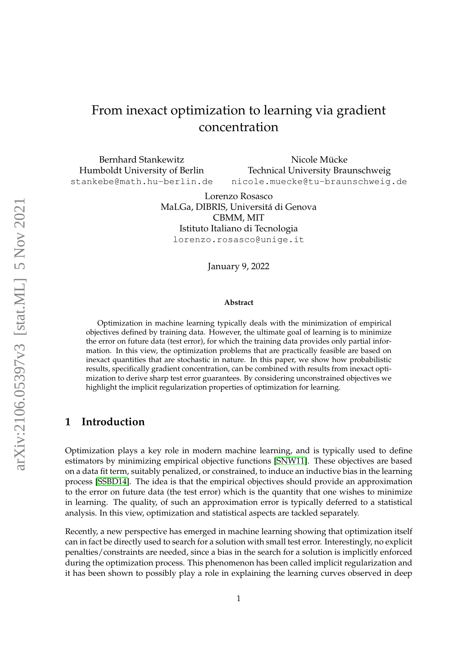# From inexact optimization to learning via gradient concentration

Bernhard Stankewitz Humboldt University of Berlin stankebe@math.hu-berlin.de

Nicole Mücke Technical University Braunschweig nicole.muecke@tu-braunschweig.de

Lorenzo Rosasco MaLGa, DIBRIS, Universita di Genova ´ CBMM, MIT Istituto Italiano di Tecnologia lorenzo.rosasco@unige.it

January 9, 2022

#### **Abstract**

Optimization in machine learning typically deals with the minimization of empirical objectives defined by training data. However, the ultimate goal of learning is to minimize the error on future data (test error), for which the training data provides only partial information. In this view, the optimization problems that are practically feasible are based on inexact quantities that are stochastic in nature. In this paper, we show how probabilistic results, specifically gradient concentration, can be combined with results from inexact optimization to derive sharp test error guarantees. By considering unconstrained objectives we highlight the implicit regularization properties of optimization for learning.

### **1 Introduction**

Optimization plays a key role in modern machine learning, and is typically used to define estimators by minimizing empirical objective functions [\[SNW11\]](#page-17-0). These objectives are based on a data fit term, suitably penalized, or constrained, to induce an inductive bias in the learning process [\[SSBD14\]](#page-17-1). The idea is that the empirical objectives should provide an approximation to the error on future data (the test error) which is the quantity that one wishes to minimize in learning. The quality, of such an approximation error is typically deferred to a statistical analysis. In this view, optimization and statistical aspects are tackled separately.

Recently, a new perspective has emerged in machine learning showing that optimization itself can in fact be directly used to search for a solution with small test error. Interestingly, no explicit penalties/constraints are needed, since a bias in the search for a solution is implicitly enforced during the optimization process. This phenomenon has been called implicit regularization and it has been shown to possibly play a role in explaining the learning curves observed in deep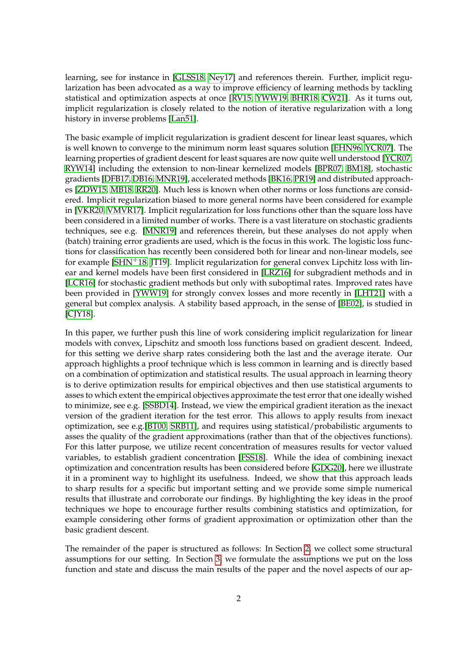learning, see for instance in [\[GLSS18,](#page-16-0) [Ney17\]](#page-17-2) and references therein. Further, implicit regularization has been advocated as a way to improve efficiency of learning methods by tackling statistical and optimization aspects at once [\[RV15,](#page-17-3) [YWW19,](#page-18-0) [BHR18,](#page-15-0) [CW21\]](#page-15-1). As it turns out, implicit regularization is closely related to the notion of iterative regularization with a long history in inverse problems [\[Lan51\]](#page-16-1).

The basic example of implicit regularization is gradient descent for linear least squares, which is well known to converge to the minimum norm least squares solution [\[EHN96,](#page-16-2) [YCR07\]](#page-18-1). The learning properties of gradient descent for least squares are now quite well understood [\[YCR07,](#page-18-1) [RYW14\]](#page-17-4) including the extension to non-linear kernelized models [\[BPR07,](#page-15-2) [BM18\]](#page-15-3), stochastic gradients [\[DFB17,](#page-16-3) [DB16,](#page-16-4) [MNR19\]](#page-17-5), accelerated methods [\[BK16,](#page-15-4) [PR19\]](#page-17-6) and distributed approaches [\[ZDW15,](#page-18-2) [MB18,](#page-17-7) [RR20\]](#page-17-8). Much less is known when other norms or loss functions are considered. Implicit regularization biased to more general norms have been considered for example in [\[VKR20,](#page-18-3) [VMVR17\]](#page-18-4). Implicit regularization for loss functions other than the square loss have been considered in a limited number of works. There is a vast literature on stochastic gradients techniques, see e.g. [\[MNR19\]](#page-17-5) and references therein, but these analyses do not apply when (batch) training error gradients are used, which is the focus in this work. The logistic loss functions for classification has recently been considered both for linear and non-linear models, see for example [\[SHN](#page-17-9)<sup>+</sup>18, [JT19\]](#page-16-5). Implicit regularization for general convex Lipchitz loss with linear and kernel models have been first considered in [\[LRZ16\]](#page-16-6) for subgradient methods and in [\[LCR16\]](#page-16-7) for stochastic gradient methods but only with suboptimal rates. Improved rates have been provided in [\[YWW19\]](#page-18-0) for strongly convex losses and more recently in [\[LHT21\]](#page-16-8) with a general but complex analysis. A stability based approach, in the sense of [\[BE02\]](#page-15-5), is studied in [\[CJY18\]](#page-15-6).

In this paper, we further push this line of work considering implicit regularization for linear models with convex, Lipschitz and smooth loss functions based on gradient descent. Indeed, for this setting we derive sharp rates considering both the last and the average iterate. Our approach highlights a proof technique which is less common in learning and is directly based on a combination of optimization and statistical results. The usual approach in learning theory is to derive optimization results for empirical objectives and then use statistical arguments to asses to which extent the empirical objectives approximate the test error that one ideally wished to minimize, see e.g. [\[SSBD14\]](#page-17-1). Instead, we view the empirical gradient iteration as the inexact version of the gradient iteration for the test error. This allows to apply results from inexact optimization, see e.g.[\[BT00,](#page-15-7) [SRB11\]](#page-17-10), and requires using statistical/probabilistic arguments to asses the quality of the gradient approximations (rather than that of the objectives functions). For this latter purpose, we utilize recent concentration of measures results for vector valued variables, to establish gradient concentration [\[FSS18\]](#page-16-9). While the idea of combining inexact optimization and concentration results has been considered before [\[GDG20\]](#page-16-10), here we illustrate it in a prominent way to highlight its usefulness. Indeed, we show that this approach leads to sharp results for a specific but important setting and we provide some simple numerical results that illustrate and corroborate our findings. By highlighting the key ideas in the proof techniques we hope to encourage further results combining statistics and optimization, for example considering other forms of gradient approximation or optimization other than the basic gradient descent.

The remainder of the paper is structured as follows: In Section [2,](#page-2-0) we collect some structural assumptions for our setting. In Section [3,](#page-3-0) we formulate the assumptions we put on the loss function and state and discuss the main results of the paper and the novel aspects of our ap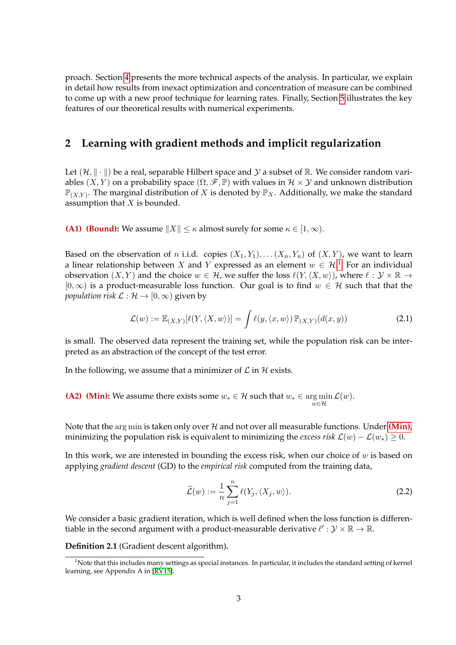proach. Section [4](#page-9-0) presents the more technical aspects of the analysis. In particular, we explain in detail how results from inexact optimization and concentration of measure can be combined to come up with a new proof technique for learning rates. Finally, Section [5](#page-13-0) illustrates the key features of our theoretical results with numerical experiments.

### <span id="page-2-0"></span>**2 Learning with gradient methods and implicit regularization**

Let  $(\mathcal{H}, \|\cdot\|)$  be a real, separable Hilbert space and  $\mathcal Y$  a subset of R. We consider random variables  $(X, Y)$  on a probability space  $(\Omega, \mathcal{F}, \mathbb{P})$  with values in  $\mathcal{H} \times \mathcal{Y}$  and unknown distribution  $\mathbb{P}_{(X,Y)}$ . The marginal distribution of X is denoted by  $\mathbb{P}_X$ . Additionally, we make the standard assumption that  $X$  is bounded.

**(A1) (Bound):** We assume  $||X|| \le \kappa$  almost surely for some  $\kappa \in [1, \infty)$ .

Based on the observation of *n* i.i.d. copies  $(X_1, Y_1), \ldots (X_n, Y_n)$  of  $(X, Y)$ , we want to learn a linear relationship between X and Y expressed as an element  $w \in \mathcal{H}$ .<sup>[1](#page-2-1)</sup> For an individual observation  $(X, Y)$  and the choice  $w \in \mathcal{H}$ , we suffer the loss  $\ell(Y,\langle X, w \rangle)$ , where  $\ell : \mathcal{Y} \times \mathbb{R} \to$  $[0, \infty)$  is a product-measurable loss function. Our goal is to find  $w \in \mathcal{H}$  such that that the *population risk*  $\mathcal{L} : \mathcal{H} \to [0, \infty)$  given by

<span id="page-2-2"></span>
$$
\mathcal{L}(w) := \mathbb{E}_{(X,Y)}[\ell(Y, \langle X, w \rangle)] = \int \ell(y, \langle x, w \rangle) \mathbb{P}_{(X,Y)}(d(x,y))
$$
\n(2.1)

is small. The observed data represent the training set, while the population risk can be interpreted as an abstraction of the concept of the test error.

In the following, we assume that a minimizer of  $\mathcal L$  in  $\mathcal H$  exists.

**(A2) (Min):** We assume there exists some  $w_* \in \mathcal{H}$  such that  $w_* \in \arg \min \mathcal{L}(w)$ .  $w \in \mathcal{H}$ 

Note that the  $\arg \min$  is taken only over  $\mathcal H$  and not over all measurable functions. Under **[\(Min\)](#page-2-2)**, minimizing the population risk is equivalent to minimizing the *excess risk*  $\mathcal{L}(w) - \mathcal{L}(w_*) \geq 0$ .

In this work, we are interested in bounding the excess risk, when our choice of  $w$  is based on applying *gradient descent* (GD) to the *empirical risk* computed from the training data,

$$
\widehat{\mathcal{L}}(w) := \frac{1}{n} \sum_{j=1}^{n} \ell(Y_j, \langle X_j, w \rangle).
$$
 (2.2)

We consider a basic gradient iteration, which is well defined when the loss function is differentiable in the second argument with a product-measurable derivative  $\ell' : \mathcal{Y} \times \mathbb{R} \to \mathbb{R}$ .

<span id="page-2-3"></span>**Definition 2.1** (Gradient descent algorithm)**.**

<span id="page-2-1"></span><sup>&</sup>lt;sup>1</sup>Note that this includes many settings as special instances. In particular, it includes the standard setting of kernel learning, see Appendix A in [\[RV15\]](#page-17-3).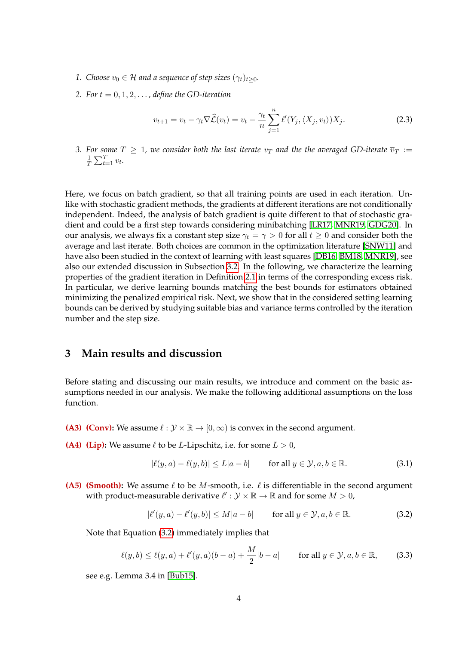- *1. Choose*  $v_0 \in H$  *and a sequence of step sizes*  $(\gamma_t)_{t \geq 0}$ *.*
- 2. For  $t = 0, 1, 2, \ldots$ , define the GD-iteration

$$
v_{t+1} = v_t - \gamma_t \nabla \widehat{\mathcal{L}}(v_t) = v_t - \frac{\gamma_t}{n} \sum_{j=1}^n \ell'(Y_j, \langle X_j, v_t \rangle) X_j.
$$
 (2.3)

*3.* For some  $T \geq 1$ , we consider both the last iterate  $v_T$  and the the averaged GD-iterate  $\overline{v}_T :=$ <br> $\frac{1}{2} \sum_{i=1}^{T} v_i$  $\frac{1}{T} \sum_{t=1}^{T} v_t.$ 

Here, we focus on batch gradient, so that all training points are used in each iteration. Unlike with stochastic gradient methods, the gradients at different iterations are not conditionally independent. Indeed, the analysis of batch gradient is quite different to that of stochastic gradient and could be a first step towards considering minibatching [\[LR17,](#page-16-11) [MNR19,](#page-17-5) [GDG20\]](#page-16-10). In our analysis, we always fix a constant step size  $\gamma_t = \gamma > 0$  for all  $t \geq 0$  and consider both the average and last iterate. Both choices are common in the optimization literature [\[SNW11\]](#page-17-0) and have also been studied in the context of learning with least squares [\[DB16,](#page-16-4) [BM18,](#page-15-3) [MNR19\]](#page-17-5), see also our extended discussion in Subsection [3.2.](#page-7-0) In the following, we characterize the learning properties of the gradient iteration in Definition [2.1](#page-2-3) in terms of the corresponding excess risk. In particular, we derive learning bounds matching the best bounds for estimators obtained minimizing the penalized empirical risk. Next, we show that in the considered setting learning bounds can be derived by studying suitable bias and variance terms controlled by the iteration number and the step size.

### <span id="page-3-0"></span>**3 Main results and discussion**

Before stating and discussing our main results, we introduce and comment on the basic assumptions needed in our analysis. We make the following additional assumptions on the loss function.

- **(A3) (Conv):** We assume  $\ell : \mathcal{Y} \times \mathbb{R} \to [0, \infty)$  is convex in the second argument.
- **(A4)** (Lip): We assume  $\ell$  to be *L*-Lipschitz, i.e. for some  $L > 0$ ,

<span id="page-3-2"></span>
$$
|\ell(y, a) - \ell(y, b)| \le L|a - b| \qquad \text{for all } y \in \mathcal{Y}, a, b \in \mathbb{R}.
$$
 (3.1)

**(A5) (Smooth):** We assume  $\ell$  to be M-smooth, i.e.  $\ell$  is differentiable in the second argument with product-measurable derivative  $\ell' : \mathcal{Y} \times \mathbb{R} \to \mathbb{R}$  and for some  $M > 0$ ,

<span id="page-3-1"></span>
$$
|\ell'(y,a) - \ell'(y,b)| \le M|a - b| \qquad \text{for all } y \in \mathcal{Y}, a, b \in \mathbb{R}.
$$
 (3.2)

Note that Equation [\(3.2\)](#page-3-1) immediately implies that

$$
\ell(y,b) \le \ell(y,a) + \ell'(y,a)(b-a) + \frac{M}{2}|b-a| \qquad \text{for all } y \in \mathcal{Y}, a, b \in \mathbb{R},\tag{3.3}
$$

see e.g. Lemma 3.4 in [\[Bub15\]](#page-15-8).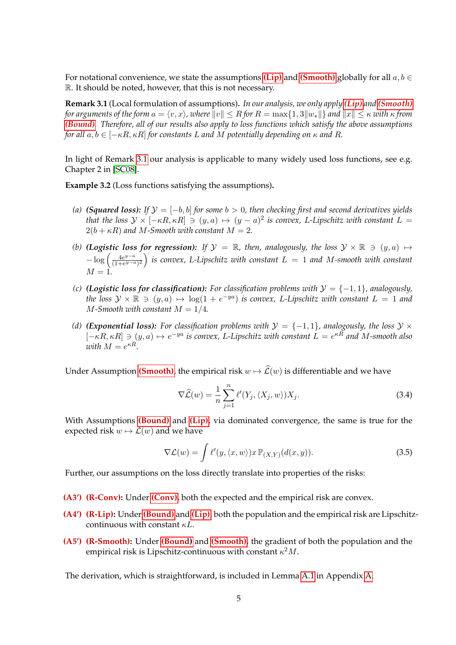For notational convenience, we state the assumptions **[\(Lip\)](#page-3-0)** and **[\(Smooth\)](#page-3-2)** globally for all  $a, b \in \mathbb{R}$ R. It should be noted, however, that this is not necessary.

<span id="page-4-0"></span>**Remark 3.1** (Local formulation of assumptions)**.** *In our analysis, we only apply [\(Lip\)](#page-3-0) and [\(Smooth\)](#page-3-2) for arguments of the form*  $a = \langle v, x \rangle$ *, where*  $||v|| \leq R$  *for*  $R = \max\{1, 3||w_*||\}$  *and*  $||x|| \leq \kappa$  *with*  $\kappa$  *from [\(Bound\)](#page-2-0). Therefore, all of our results also apply to loss functions which satisfy the above assumptions for all*  $a, b \in [-\kappa R, \kappa R]$  *for constants* L *and* M *potentially depending on*  $\kappa$  *and* R.

In light of Remark [3.1](#page-4-0) our analysis is applicable to many widely used loss functions, see e.g. Chapter 2 in [\[SC08\]](#page-17-11).

<span id="page-4-1"></span>**Example 3.2** (Loss functions satisfying the assumptions)**.**

- *(a)* **(Squared loss):** If  $\mathcal{Y} = [-b, b]$  for some  $b > 0$ , then checking first and second derivatives yields *that the loss*  $\mathcal{Y} \times [-\kappa R, \kappa R] \ni (y, a) \mapsto (y - a)^2$  *is convex, L*-Lipschitz with constant  $L =$  $2(b + \kappa R)$  *and M-Smooth with constant*  $M = 2$ .
- *(b)* (Logistic loss for regression): If  $\mathcal{Y} = \mathbb{R}$ , then, analogously, the loss  $\mathcal{Y} \times \mathbb{R} \ni (y, a) \mapsto$  $-\log\left(\frac{4e^{y-a}}{(1+e^{y-a})}\right)$  $\frac{4e^{y-a}}{(1+e^{y-a})^2}$ ) is convex, L-Lipschitz with constant  $L = 1$  and M-smooth with constant  $M = 1.$
- *(c)* (Logistic loss for classification): For classification problems with  $\mathcal{Y} = \{-1, 1\}$ , analogously, *the loss*  $\mathcal{Y} \times \mathbb{R}$  ∋  $(y, a)$   $\mapsto$  log(1 + e<sup>-ya</sup>) *is convex,* L-Lipschitz with constant L = 1 and  $M$ -Smooth with constant  $M = 1/4$ .
- *(d)* **(Exponential loss):** For classification problems with  $\mathcal{Y} = \{-1, 1\}$ , analogously, the loss  $\mathcal{Y} \times$  $[-\kappa R, \kappa R] \ni (y, a) \mapsto e^{-ya}$  is convex, L-Lipschitz with constant  $L = e^{\kappa R}$  and M-smooth also  $with M = e^{\kappa R}$ .

Under Assumption **[\(Smooth\)](#page-3-2)**, the empirical risk  $w \mapsto \widehat{L}(w)$  is differentiable and we have

<span id="page-4-2"></span>
$$
\nabla \widehat{\mathcal{L}}(w) = \frac{1}{n} \sum_{j=1}^{n} \ell'(Y_j, \langle X_j, w \rangle) X_j.
$$
 (3.4)

With Assumptions **[\(Bound\)](#page-2-0)** and **[\(Lip\)](#page-3-0)**, via dominated convergence, the same is true for the expected risk  $w \mapsto \mathcal{L}(w)$  and we have

$$
\nabla \mathcal{L}(w) = \int \ell'(y, \langle x, w \rangle) x \, \mathbb{P}_{(X,Y)}(d(x,y)). \tag{3.5}
$$

Further, our assumptions on the loss directly translate into properties of the risks:

- **(A3') (R-Conv):** Under **[\(Conv\)](#page-3-0)**, both the expected and the empirical risk are convex.
- **(A4') (R-Lip):** Under**[\(Bound\)](#page-2-0)** and **[\(Lip\)](#page-3-0)**, both the population and the empirical risk are Lipschitzcontinuous with constant  $\kappa L$ .
- **(A5') (R-Smooth):** Under **[\(Bound\)](#page-2-0)** and **[\(Smooth\)](#page-3-2)**, the gradient of both the population and the empirical risk is Lipschitz-continuous with constant  $\kappa^2 M.$

The derivation, which is straightforward, is included in Lemma [A.1](#page-19-0) in Appendix [A.](#page-19-1)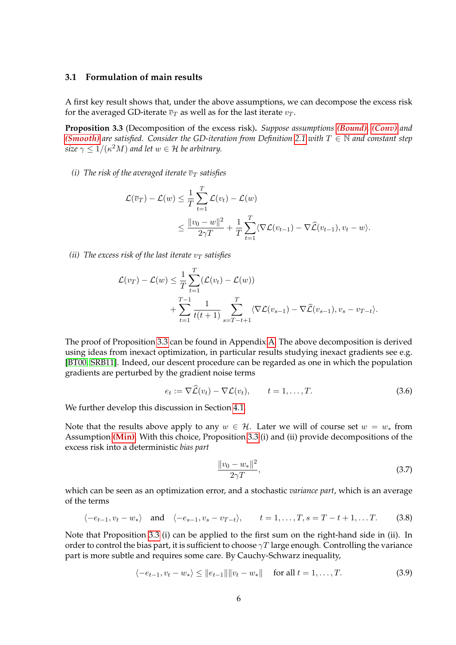#### **3.1 Formulation of main results**

A first key result shows that, under the above assumptions, we can decompose the excess risk for the averaged GD-iterate  $\overline{v}_T$  as well as for the last iterate  $v_T$ .

<span id="page-5-0"></span>**Proposition 3.3** (Decomposition of the excess risk)**.** *Suppose assumptions [\(Bound\)](#page-2-0), [\(Conv\)](#page-3-0) and [\(Smooth\)](#page-3-2)* are satisfied. Consider the GD-iteration from Definition [2.1](#page-2-3) with  $T \in \mathbb{N}$  and constant step size  $\gamma \leq 1/(\kappa^2 M)$  and let  $w \in \mathcal{H}$  be arbitrary.

*(i)* The risk of the averaged iterate  $\overline{v}_T$  satisfies

$$
\mathcal{L}(\overline{v}_T) - \mathcal{L}(w) \leq \frac{1}{T} \sum_{t=1}^T \mathcal{L}(v_t) - \mathcal{L}(w)
$$
  
 
$$
\leq \frac{\|v_0 - w\|^2}{2\gamma T} + \frac{1}{T} \sum_{t=1}^T \langle \nabla \mathcal{L}(v_{t-1}) - \nabla \widehat{\mathcal{L}}(v_{t-1}), v_t - w \rangle.
$$

*(ii)* The excess risk of the last iterate  $v_T$  satisfies

$$
\mathcal{L}(v_T) - \mathcal{L}(w) \leq \frac{1}{T} \sum_{t=1}^T (\mathcal{L}(v_t) - \mathcal{L}(w)) + \sum_{t=1}^{T-1} \frac{1}{t(t+1)} \sum_{s=T-t+1}^T \langle \nabla \mathcal{L}(v_{s-1}) - \nabla \widehat{\mathcal{L}}(v_{s-1}), v_s - v_{T-t} \rangle.
$$

The proof of Proposition [3.3](#page-5-0) can be found in Appendix [A.](#page-20-0) The above decomposition is derived using ideas from inexact optimization, in particular results studying inexact gradients see e.g. [\[BT00,](#page-15-7) [SRB11\]](#page-17-10). Indeed, our descent procedure can be regarded as one in which the population gradients are perturbed by the gradient noise terms

$$
e_t := \nabla \widehat{\mathcal{L}}(v_t) - \nabla \mathcal{L}(v_t), \qquad t = 1, \dots, T. \tag{3.6}
$$

We further develop this discussion in Section [4.1.](#page-9-1)

Note that the results above apply to any  $w \in \mathcal{H}$ . Later we will of course set  $w = w_*$  from Assumption **[\(Min\)](#page-2-2)**. With this choice, Proposition [3.3](#page-5-0) (i) and (ii) provide decompositions of the excess risk into a deterministic *bias part*

$$
\frac{\|v_0 - w_*\|^2}{2\gamma T},\tag{3.7}
$$

which can be seen as an optimization error, and a stochastic *variance part*, which is an average of the terms

$$
\langle -e_{t-1}, v_t - w_* \rangle
$$
 and  $\langle -e_{s-1}, v_s - v_{T-t} \rangle$ ,  $t = 1, ..., T, s = T - t + 1, ...T$ . (3.8)

Note that Proposition [3.3](#page-5-0) (i) can be applied to the first sum on the right-hand side in (ii). In order to control the bias part, it is sufficient to choose  $\gamma T$  large enough. Controlling the variance part is more subtle and requires some care. By Cauchy-Schwarz inequality,

$$
\langle -e_{t-1}, v_t - w_* \rangle \le ||e_{t-1}|| ||v_t - w_*|| \quad \text{for all } t = 1, ..., T. \tag{3.9}
$$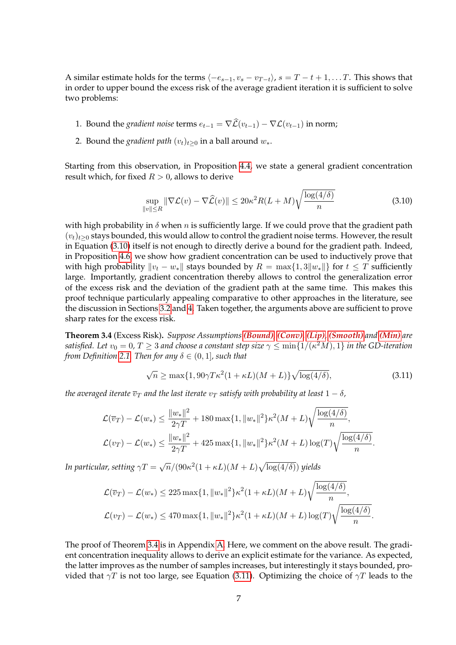A similar estimate holds for the terms  $\langle -e_{s-1}, v_s - v_{T-t} \rangle$ ,  $s = T - t + 1, \ldots T$ . This shows that in order to upper bound the excess risk of the average gradient iteration it is sufficient to solve two problems:

- 1. Bound the *gradient noise* terms  $e_{t-1} = \nabla \hat{\mathcal{L}}(v_{t-1}) \nabla \mathcal{L}(v_{t-1})$  in norm;
- 2. Bound the *gradient path*  $(v_t)_{t\geq0}$  in a ball around  $w_*$ .

Starting from this observation, in Proposition [4.4,](#page-11-0) we state a general gradient concentration result which, for fixed  $R > 0$ , allows to derive

<span id="page-6-0"></span>
$$
\sup_{\|v\| \le R} \|\nabla \mathcal{L}(v) - \nabla \widehat{\mathcal{L}}(v)\| \le 20\kappa^2 R(L+M)\sqrt{\frac{\log(4/\delta)}{n}}\tag{3.10}
$$

with high probability in  $\delta$  when n is sufficiently large. If we could prove that the gradient path  $(v_t)_{t\geq0}$  stays bounded, this would allow to control the gradient noise terms. However, the result in Equation [\(3.10\)](#page-6-0) itself is not enough to directly derive a bound for the gradient path. Indeed, in Proposition [4.6,](#page-12-0) we show how gradient concentration can be used to inductively prove that with high probability  $||v_t - w_*||$  stays bounded by  $R = \max\{1, 3||w_*||\}$  for  $t \leq T$  sufficiently large. Importantly, gradient concentration thereby allows to control the generalization error of the excess risk and the deviation of the gradient path at the same time. This makes this proof technique particularly appealing comparative to other approaches in the literature, see the discussion in Sections [3.2](#page-7-0) and [4.](#page-9-0) Taken together, the arguments above are sufficient to prove sharp rates for the excess risk.

<span id="page-6-1"></span>**Theorem 3.4** (Excess Risk)**.** *Suppose Assumptions [\(Bound\)](#page-2-0), [\(Conv\)](#page-3-0), [\(Lip\)](#page-3-0), [\(Smooth\)](#page-3-2) and [\(Min\)](#page-2-2) are* satisfied. Let  $v_0=0$ ,  $T\geq 3$  and choose a constant step size  $\gamma\leq \min\{1/(\kappa^2M),1\}$  in the GD-iteration *from Definition* [2.1.](#page-2-3) *Then for any*  $\delta \in (0, 1]$ *, such that* 

<span id="page-6-2"></span>
$$
\sqrt{n} \ge \max\{1, 90\gamma T\kappa^2(1+\kappa L)(M+L)\}\sqrt{\log(4/\delta)},\tag{3.11}
$$

*the averaged iterate*  $\overline{v}_T$  *and the last iterate*  $v_T$  *satisfy with probability at least*  $1 - \delta$ *,* 

$$
\mathcal{L}(\overline{v}_T) - \mathcal{L}(w_*) \le \frac{\|w_*\|^2}{2\gamma T} + 180 \max\{1, \|w_*\|^2\} \kappa^2 (M + L) \sqrt{\frac{\log(4/\delta)}{n}},
$$
  

$$
\mathcal{L}(v_T) - \mathcal{L}(w_*) \le \frac{\|w_*\|^2}{2\gamma T} + 425 \max\{1, \|w_*\|^2\} \kappa^2 (M + L) \log(T) \sqrt{\frac{\log(4/\delta)}{n}}.
$$

In particular, setting  $\gamma T = \sqrt{n}/(90\kappa^2(1+\kappa L)(M+L)\sqrt{\log(4/\delta)})$  yields

$$
\mathcal{L}(\overline{v}_T) - \mathcal{L}(w_*) \le 225 \max\{1, \|w_*\|^2\} \kappa^2 (1 + \kappa L)(M + L) \sqrt{\frac{\log(4/\delta)}{n}},
$$
  

$$
\mathcal{L}(v_T) - \mathcal{L}(w_*) \le 470 \max\{1, \|w_*\|^2\} \kappa^2 (1 + \kappa L)(M + L) \log(T) \sqrt{\frac{\log(4/\delta)}{n}}.
$$

The proof of Theorem [3.4](#page-6-1) is in Appendix [A.](#page-21-0) Here, we comment on the above result. The gradient concentration inequality allows to derive an explicit estimate for the variance. As expected, the latter improves as the number of samples increases, but interestingly it stays bounded, provided that  $\gamma T$  is not too large, see Equation [\(3.11\)](#page-6-2). Optimizing the choice of  $\gamma T$  leads to the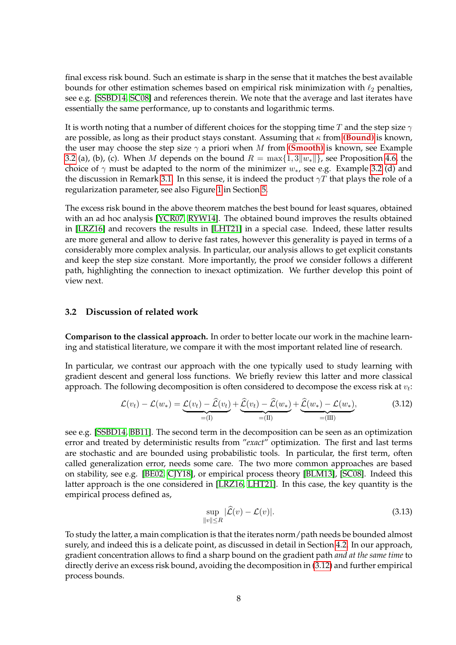final excess risk bound. Such an estimate is sharp in the sense that it matches the best available bounds for other estimation schemes based on empirical risk minimization with  $\ell_2$  penalties, see e.g. [\[SSBD14,](#page-17-1) [SC08\]](#page-17-11) and references therein. We note that the average and last iterates have essentially the same performance, up to constants and logarithmic terms.

It is worth noting that a number of different choices for the stopping time T and the step size  $\gamma$ are possible, as long as their product stays constant. Assuming that  $\kappa$  from **[\(Bound\)](#page-2-0)** is known, the user may choose the step size  $\gamma$  a priori when M from **[\(Smooth\)](#page-3-2)** is known, see Example [3.2](#page-4-1) (a), (b), (c). When M depends on the bound  $R = \max\{1, 3||w_*||\}$ , see Proposition [4.6,](#page-12-0) the choice of  $\gamma$  must be adapted to the norm of the minimizer  $w_{*}$ , see e.g. Example [3.2](#page-4-1) (d) and the discussion in Remark [3.1.](#page-4-0) In this sense, it is indeed the product  $\gamma T$  that plays the role of a regularization parameter, see also Figure [1](#page-14-0) in Section [5.](#page-13-0)

The excess risk bound in the above theorem matches the best bound for least squares, obtained with an ad hoc analysis [\[YCR07,](#page-18-1) [RYW14\]](#page-17-4). The obtained bound improves the results obtained in [\[LRZ16\]](#page-16-6) and recovers the results in [\[LHT21\]](#page-16-8) in a special case. Indeed, these latter results are more general and allow to derive fast rates, however this generality is payed in terms of a considerably more complex analysis. In particular, our analysis allows to get explicit constants and keep the step size constant. More importantly, the proof we consider follows a different path, highlighting the connection to inexact optimization. We further develop this point of view next.

#### <span id="page-7-0"></span>**3.2 Discussion of related work**

**Comparison to the classical approach.** In order to better locate our work in the machine learning and statistical literature, we compare it with the most important related line of research.

In particular, we contrast our approach with the one typically used to study learning with gradient descent and general loss functions. We briefly review this latter and more classical approach. The following decomposition is often considered to decompose the excess risk at  $v_t$ :

$$
\mathcal{L}(v_t) - \mathcal{L}(w_*) = \underbrace{\mathcal{L}(v_t) - \widehat{\mathcal{L}}(v_t)}_{=(\text{I})} + \underbrace{\widehat{\mathcal{L}}(v_t) - \widehat{\mathcal{L}}(w_*)}_{=(\text{II})} + \underbrace{\widehat{\mathcal{L}}(w_*) - \mathcal{L}(w_*)}_{=(\text{III})},
$$
\n(3.12)

see e.g. [\[SSBD14,](#page-17-1) [BB11\]](#page-15-9). The second term in the decomposition can be seen as an optimization error and treated by deterministic results from "*exact*" optimization. The first and last terms are stochastic and are bounded using probabilistic tools. In particular, the first term, often called generalization error, needs some care. The two more common approaches are based on stability, see e.g. [\[BE02,](#page-15-5) [CJY18\]](#page-15-6), or empirical process theory [\[BLM13\]](#page-15-10), [\[SC08\]](#page-17-11). Indeed this latter approach is the one considered in [\[LRZ16,](#page-16-6) [LHT21\]](#page-16-8). In this case, the key quantity is the empirical process defined as,

<span id="page-7-1"></span>
$$
\sup_{\|v\| \le R} |\widehat{\mathcal{L}}(v) - \mathcal{L}(v)|. \tag{3.13}
$$

To study the latter, a main complication is that the iterates norm/path needs be bounded almost surely, and indeed this is a delicate point, as discussed in detail in Section [4.2.](#page-10-0) In our approach, gradient concentration allows to find a sharp bound on the gradient path *and at the same time* to directly derive an excess risk bound, avoiding the decomposition in [\(3.12\)](#page-7-1) and further empirical process bounds.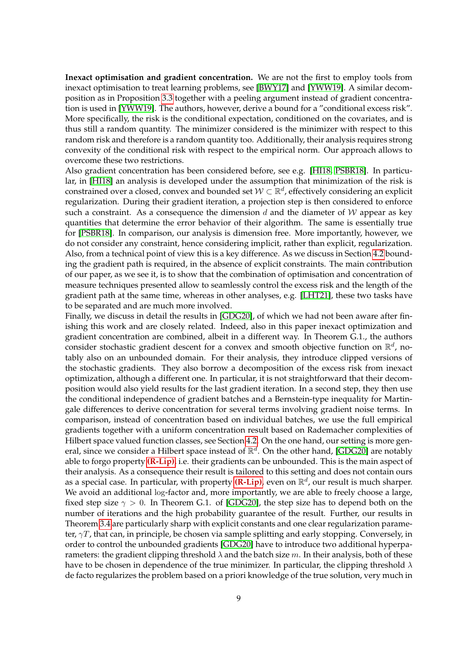**Inexact optimisation and gradient concentration.** We are not the first to employ tools from inexact optimisation to treat learning problems, see [\[BWY17\]](#page-15-11) and [\[YWW19\]](#page-18-0). A similar decomposition as in Proposition [3.3](#page-5-0) together with a peeling argument instead of gradient concentration is used in [\[YWW19\]](#page-18-0). The authors, however, derive a bound for a "conditional excess risk". More specifically, the risk is the conditional expectation, conditioned on the covariates, and is thus still a random quantity. The minimizer considered is the minimizer with respect to this random risk and therefore is a random quantity too. Additionally, their analysis requires strong convexity of the conditional risk with respect to the empirical norm. Our approach allows to overcome these two restrictions.

Also gradient concentration has been considered before, see e.g. [\[HI18,](#page-16-12) [PSBR18\]](#page-17-12). In particular, in [\[HI18\]](#page-16-12) an analysis is developed under the assumption that minimization of the risk is constrained over a closed, convex and bounded set  $\mathcal{W}\subset\mathbb{R}^d$ , effectively considering an explicit regularization. During their gradient iteration, a projection step is then considered to enforce such a constraint. As a consequence the dimension d and the diameter of  $W$  appear as key quantities that determine the error behavior of their algorithm. The same is essentially true for [\[PSBR18\]](#page-17-12). In comparison, our analysis is dimension free. More importantly, however, we do not consider any constraint, hence considering implicit, rather than explicit, regularization. Also, from a technical point of view this is a key difference. As we discuss in Section [4.2](#page-10-0) bounding the gradient path is required, in the absence of explicit constraints. The main contribution of our paper, as we see it, is to show that the combination of optimisation and concentration of measure techniques presented allow to seamlessly control the excess risk and the length of the gradient path at the same time, whereas in other analyses, e.g. [\[LHT21\]](#page-16-8), these two tasks have to be separated and are much more involved.

Finally, we discuss in detail the results in [\[GDG20\]](#page-16-10), of which we had not been aware after finishing this work and are closely related. Indeed, also in this paper inexact optimization and gradient concentration are combined, albeit in a different way. In Theorem G.1., the authors consider stochastic gradient descent for a convex and smooth objective function on  $\mathbb{R}^d$ , notably also on an unbounded domain. For their analysis, they introduce clipped versions of the stochastic gradients. They also borrow a decomposition of the excess risk from inexact optimization, although a different one. In particular, it is not straightforward that their decomposition would also yield results for the last gradient iteration. In a second step, they then use the conditional independence of gradient batches and a Bernstein-type inequality for Martingale differences to derive concentration for several terms involving gradient noise terms. In comparison, instead of concentration based on individual batches, we use the full empirical gradients together with a uniform concentration result based on Rademacher complexities of Hilbert space valued function classes, see Section [4.2.](#page-10-0) On the one hand, our setting is more general, since we consider a Hilbert space instead of  $\mathbb{R}^d$ . On the other hand, [\[GDG20\]](#page-16-10) are notably able to forgo property **[\(R-Lip\)](#page-4-2)**, i.e. their gradients can be unbounded. This is the main aspect of their analysis. As a consequence their result is tailored to this setting and does not contain ours as a special case. In particular, with property (**R-Lip**), even on  $\mathbb{R}^d$ , our result is much sharper. We avoid an additional log-factor and, more importantly, we are able to freely choose a large, fixed step size  $\gamma > 0$ . In Theorem G.1. of [\[GDG20\]](#page-16-10), the step size has to depend both on the number of iterations and the high probability guarantee of the result. Further, our results in Theorem [3.4](#page-6-1) are particularly sharp with explicit constants and one clear regularization parameter,  $\gamma T$ , that can, in principle, be chosen via sample splitting and early stopping. Conversely, in order to control the unbounded gradients [\[GDG20\]](#page-16-10) have to introduce two additional hyperparameters: the gradient clipping threshold  $\lambda$  and the batch size m. In their analysis, both of these have to be chosen in dependence of the true minimizer. In particular, the clipping threshold  $\lambda$ de facto regularizes the problem based on a priori knowledge of the true solution, very much in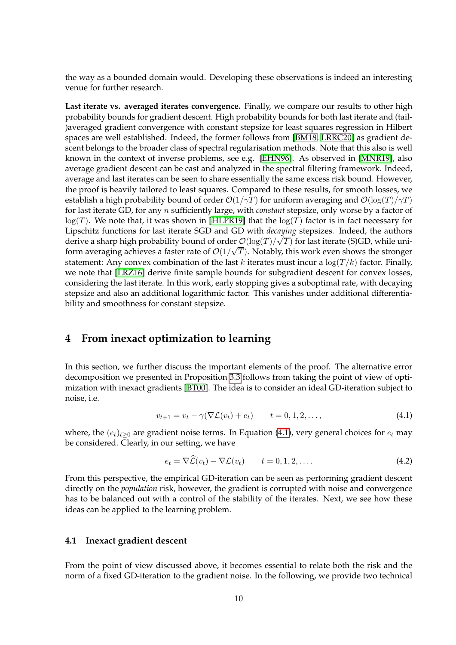the way as a bounded domain would. Developing these observations is indeed an interesting venue for further research.

**Last iterate vs. averaged iterates convergence.** Finally, we compare our results to other high probability bounds for gradient descent. High probability bounds for both last iterate and (tail- )averaged gradient convergence with constant stepsize for least squares regression in Hilbert spaces are well established. Indeed, the former follows from [\[BM18,](#page-15-3) [LRRC20\]](#page-16-13) as gradient descent belongs to the broader class of spectral regularisation methods. Note that this also is well known in the context of inverse problems, see e.g. [\[EHN96\]](#page-16-2). As observed in [\[MNR19\]](#page-17-5), also average gradient descent can be cast and analyzed in the spectral filtering framework. Indeed, average and last iterates can be seen to share essentially the same excess risk bound. However, the proof is heavily tailored to least squares. Compared to these results, for smooth losses, we establish a high probability bound of order  $\mathcal{O}(1/\gamma T)$  for uniform averaging and  $\mathcal{O}(\log(T)/\gamma T)$ for last iterate GD, for any n sufficiently large, with *constant* stepsize, only worse by a factor of  $log(T)$ . We note that, it was shown in [\[HLPR19\]](#page-16-14) that the  $log(T)$  factor is in fact necessary for Lipschitz functions for last iterate SGD and GD with *decaying* stepsizes. Indeed, the authors √ derive a sharp high probability bound of order  $\mathcal{O}(\log(T)/\sqrt{T})$  for last iterate (S)GD, while uniform averaging achieves a faster rate of  $\mathcal{O}(1/\sqrt{T})$ . Notably, this work even shows the stronger statement: Any convex combination of the last k iterates must incur a  $\log(T/k)$  factor. Finally, we note that [\[LRZ16\]](#page-16-6) derive finite sample bounds for subgradient descent for convex losses, considering the last iterate. In this work, early stopping gives a suboptimal rate, with decaying stepsize and also an additional logarithmic factor. This vanishes under additional differentiability and smoothness for constant stepsize.

### <span id="page-9-0"></span>**4 From inexact optimization to learning**

In this section, we further discuss the important elements of the proof. The alternative error decomposition we presented in Proposition [3.3](#page-5-0) follows from taking the point of view of optimization with inexact gradients [\[BT00\]](#page-15-7). The idea is to consider an ideal GD-iteration subject to noise, i.e.

$$
v_{t+1} = v_t - \gamma(\nabla \mathcal{L}(v_t) + e_t) \qquad t = 0, 1, 2, ..., \qquad (4.1)
$$

where, the  $(e_t)_{t\geq0}$  are gradient noise terms. In Equation [\(4.1\)](#page-9-2), very general choices for  $e_t$  may be considered. Clearly, in our setting, we have

<span id="page-9-2"></span>
$$
e_t = \nabla \mathcal{L}(v_t) - \nabla \mathcal{L}(v_t) \qquad t = 0, 1, 2, \dots
$$
 (4.2)

From this perspective, the empirical GD-iteration can be seen as performing gradient descent directly on the *population* risk, however, the gradient is corrupted with noise and convergence has to be balanced out with a control of the stability of the iterates. Next, we see how these ideas can be applied to the learning problem.

#### <span id="page-9-1"></span>**4.1 Inexact gradient descent**

From the point of view discussed above, it becomes essential to relate both the risk and the norm of a fixed GD-iteration to the gradient noise. In the following, we provide two technical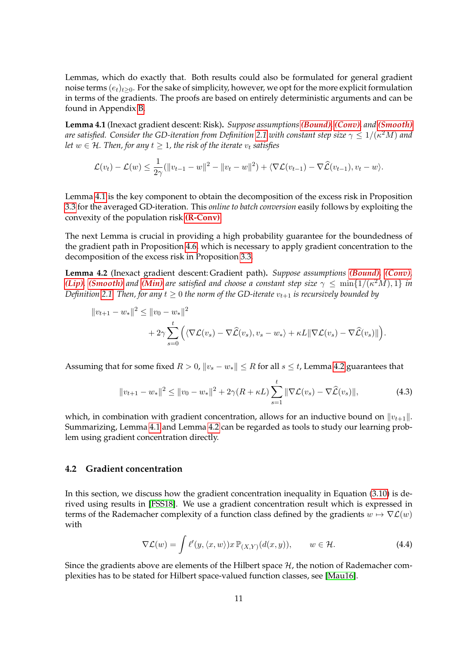Lemmas, which do exactly that. Both results could also be formulated for general gradient noise terms  $(e_t)_{t\geq0}$ . For the sake of simplicity, however, we opt for the more explicit formulation in terms of the gradients. The proofs are based on entirely deterministic arguments and can be found in Appendix [B.](#page-23-0)

<span id="page-10-1"></span>**Lemma 4.1** (Inexact gradient descent: Risk)**.** *Suppose assumptions [\(Bound\)](#page-2-0), [\(Conv\)](#page-3-0), and [\(Smooth\)](#page-3-2)* are satisfied. Consider the GD-iteration from Definition [2.1](#page-2-3) with constant step size  $\gamma \leq 1/(\kappa^2 M)$  and *let*  $w \in H$ *. Then, for any*  $t \geq 1$ *, the risk of the iterate*  $v_t$  *satisfies* 

$$
\mathcal{L}(v_t) - \mathcal{L}(w) \leq \frac{1}{2\gamma} (\|v_{t-1} - w\|^2 - \|v_t - w\|^2) + \langle \nabla \mathcal{L}(v_{t-1}) - \nabla \widehat{\mathcal{L}}(v_{t-1}), v_t - w \rangle.
$$

Lemma [4.1](#page-10-1) is the key component to obtain the decomposition of the excess risk in Proposition [3.3](#page-5-0) for the averaged GD-iteration. This *online to batch conversion* easily follows by exploiting the convexity of the population risk **[\(R-Conv\)](#page-4-2)**.

The next Lemma is crucial in providing a high probability guarantee for the boundedness of the gradient path in Proposition [4.6,](#page-12-0) which is necessary to apply gradient concentration to the decomposition of the excess risk in Proposition [3.3.](#page-5-0)

<span id="page-10-2"></span>**Lemma 4.2** (Inexact gradient descent: Gradient path)**.** *Suppose assumptions [\(Bound\)](#page-2-0), [\(Conv\)](#page-3-0), [\(Lip\)](#page-3-0)*, *[\(Smooth\)](#page-3-2)* and *[\(Min\)](#page-2-2)* are satisfied and choose a constant step size  $\gamma \le \min\{1/(\kappa^2M), 1\}$  *in Definition* [2.1.](#page-2-3) Then, for any  $t \geq 0$  the norm of the GD-iterate  $v_{t+1}$  is recursively bounded by

$$
||v_{t+1} - w_*||^2 \le ||v_0 - w_*||^2
$$
  
+ 
$$
2\gamma \sum_{s=0}^t \left( \langle \nabla \mathcal{L}(v_s) - \nabla \widehat{\mathcal{L}}(v_s), v_s - w_* \rangle + \kappa L ||\nabla \mathcal{L}(v_s) - \nabla \widehat{\mathcal{L}}(v_s) || \right).
$$

Assuming that for some fixed  $R > 0$ ,  $||v_s - w_*|| \leq R$  for all  $s \leq t$ , Lemma [4.2](#page-10-2) guarantees that

$$
||v_{t+1} - w_*||^2 \le ||v_0 - w_*||^2 + 2\gamma (R + \kappa L) \sum_{s=1}^t ||\nabla \mathcal{L}(v_s) - \nabla \widehat{\mathcal{L}}(v_s) ||,
$$
\n(4.3)

which, in combination with gradient concentration, allows for an inductive bound on  $||v_{t+1}||$ . Summarizing, Lemma [4.1](#page-10-1) and Lemma [4.2](#page-10-2) can be regarded as tools to study our learning problem using gradient concentration directly.

#### <span id="page-10-0"></span>**4.2 Gradient concentration**

In this section, we discuss how the gradient concentration inequality in Equation [\(3.10\)](#page-6-0) is derived using results in [\[FSS18\]](#page-16-9). We use a gradient concentration result which is expressed in terms of the Rademacher complexity of a function class defined by the gradients  $w \mapsto \nabla \mathcal{L}(w)$ with

$$
\nabla \mathcal{L}(w) = \int \ell'(y, \langle x, w \rangle) x \, \mathbb{P}_{(X,Y)}(d(x,y)), \qquad w \in \mathcal{H}.
$$
 (4.4)

Since the gradients above are elements of the Hilbert space  $H$ , the notion of Rademacher complexities has to be stated for Hilbert space-valued function classes, see [\[Mau16\]](#page-17-13).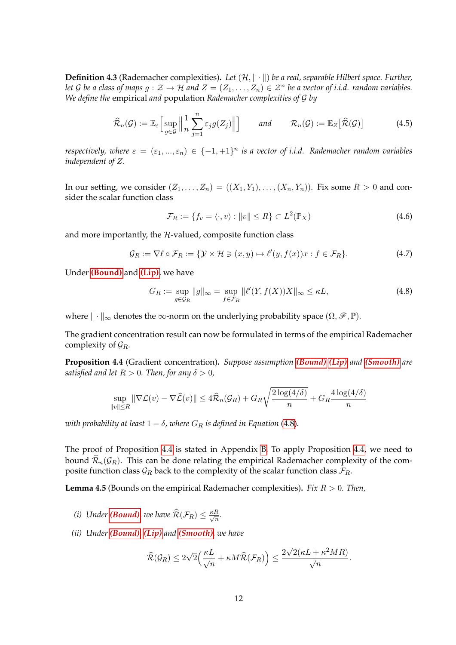**Definition 4.3** (Rademacher complexities). Let  $(H, \|\cdot\|)$  be a real, separable Hilbert space. Further, *let G be a class of maps*  $g: \mathcal{Z} \to \mathcal{H}$  *and*  $Z = (Z_1, \ldots, Z_n) \in \mathcal{Z}^n$  *be a vector of i.i.d. random variables. We define the* empirical *and* population *Rademacher complexities of* G *by*

$$
\widehat{\mathcal{R}}_n(\mathcal{G}) := \mathbb{E}_{\varepsilon} \Big[ \sup_{g \in \mathcal{G}} \Big\| \frac{1}{n} \sum_{j=1}^n \varepsilon_j g(Z_j) \Big\| \Big] \qquad \text{and} \qquad \mathcal{R}_n(\mathcal{G}) := \mathbb{E}_{Z} \big[ \widehat{\mathcal{R}}(\mathcal{G}) \big] \tag{4.5}
$$

*respectively, where*  $\varepsilon = (\varepsilon_1, ..., \varepsilon_n) \in \{-1, +1\}^n$  is a vector of i.i.d. Rademacher random variables *independent of* Z*.*

In our setting, we consider  $(Z_1, \ldots, Z_n) = ((X_1, Y_1), \ldots, (X_n, Y_n))$ . Fix some  $R > 0$  and consider the scalar function class

<span id="page-11-3"></span><span id="page-11-1"></span>
$$
\mathcal{F}_R := \{ f_v = \langle \cdot, v \rangle : ||v|| \le R \} \subset L^2(\mathbb{P}_X)
$$
\n(4.6)

and more importantly, the  $H$ -valued, composite function class

$$
\mathcal{G}_R := \nabla \ell \circ \mathcal{F}_R := \{ \mathcal{Y} \times \mathcal{H} \ni (x, y) \mapsto \ell'(y, f(x))x : f \in \mathcal{F}_R \}. \tag{4.7}
$$

Under **[\(Bound\)](#page-2-0)** and **[\(Lip\)](#page-3-0)**, we have

$$
G_R := \sup_{g \in \mathcal{G}_R} \|g\|_{\infty} = \sup_{f \in \mathcal{F}_R} \|\ell'(Y, f(X))X\|_{\infty} \le \kappa L,\tag{4.8}
$$

where  $\| \cdot \|_{\infty}$  denotes the  $\infty$ -norm on the underlying probability space  $(\Omega, \mathscr{F}, \mathbb{P})$ .

The gradient concentration result can now be formulated in terms of the empirical Rademacher complexity of  $\mathcal{G}_R$ .

<span id="page-11-0"></span>**Proposition 4.4** (Gradient concentration)**.** *Suppose assumption [\(Bound\)](#page-2-0) [\(Lip\)](#page-3-0) and [\(Smooth\)](#page-3-2) are satisfied and let*  $R > 0$ *. Then, for any*  $\delta > 0$ *,* 

$$
\sup_{\|v\| \le R} \|\nabla \mathcal{L}(v) - \nabla \widehat{\mathcal{L}}(v)\| \le 4\widehat{\mathcal{R}}_n(\mathcal{G}_R) + G_R \sqrt{\frac{2\log(4/\delta)}{n}} + G_R \frac{4\log(4/\delta)}{n}
$$

*with probability at least*  $1 - \delta$ *, where*  $G_R$  *is defined in Equation* [\(4.8\)](#page-11-1).

The proof of Proposition [4.4](#page-11-0) is stated in Appendix [B.](#page-25-0) To apply Proposition [4.4,](#page-11-0) we need to bound  $\widehat{\mathcal{R}}_n(\mathcal{G}_R)$ . This can be done relating the empirical Rademacher complexity of the composite function class  $\mathcal{G}_R$  back to the complexity of the scalar function class  $\mathcal{F}_R$ .

<span id="page-11-2"></span>**Lemma 4.5** (Bounds on the empirical Rademacher complexities)**.** *Fix* R > 0*. Then,*

- *(i) Under [\(Bound\)](#page-2-0), we have*  $\widehat{\mathcal{R}}(\mathcal{F}_R) \leq \frac{\kappa R}{\sqrt{n}}$  $\frac{\kappa}{\overline{n}}$ .
- *(ii) Under [\(Bound\)](#page-2-0), [\(Lip\)](#page-3-0) and [\(Smooth\)](#page-3-2), we have*

$$
\widehat{\mathcal{R}}(\mathcal{G}_R) \leq 2\sqrt{2} \Big( \frac{\kappa L}{\sqrt{n}} + \kappa M \widehat{\mathcal{R}}(\mathcal{F}_R) \Big) \leq \frac{2\sqrt{2}(\kappa L + \kappa^2 MR)}{\sqrt{n}}.
$$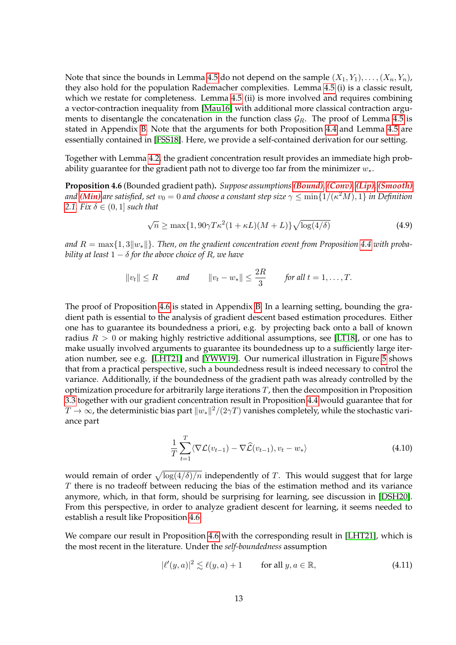Note that since the bounds in Lemma [4.5](#page-11-2) do not depend on the sample  $(X_1, Y_1), \ldots, (X_n, Y_n)$ , they also hold for the population Rademacher complexities. Lemma [4.5](#page-11-2) (i) is a classic result, which we restate for completeness. Lemma [4.5](#page-11-2) (ii) is more involved and requires combining a vector-contraction inequality from [\[Mau16\]](#page-17-13) with additional more classical contraction arguments to disentangle the concatenation in the function class  $\mathcal{G}_R$ . The proof of Lemma [4.5](#page-11-2) is stated in Appendix [B.](#page-23-1) Note that the arguments for both Proposition [4.4](#page-11-0) and Lemma [4.5](#page-11-2) are essentially contained in [\[FSS18\]](#page-16-9). Here, we provide a self-contained derivation for our setting.

Together with Lemma [4.2,](#page-10-2) the gradient concentration result provides an immediate high probability guarantee for the gradient path not to diverge too far from the minimizer  $w_*$ .

<span id="page-12-0"></span>**Proposition 4.6** (Bounded gradient path)**.** *Suppose assumptions [\(Bound\)](#page-2-0), [\(Conv\)](#page-3-0), [\(Lip\)](#page-3-0), [\(Smooth\)](#page-3-2)* and [\(Min\)](#page-2-2) are satisfied, set  $v_0=0$  and choose a constant step size  $\gamma\leq \min\{1/(\kappa^2M),1\}$  in Definition *[2.1.](#page-2-3) Fix*  $\delta \in (0, 1]$  *such that* 

<span id="page-12-1"></span>
$$
\sqrt{n} \ge \max\{1, 90\gamma T\kappa^2 (1 + \kappa L)(M + L)\} \sqrt{\log(4/\delta)}
$$
(4.9)

*and*  $R = \max\{1, 3||w_*||\}$ . Then, on the gradient concentration event from Proposition [4.4](#page-11-0) with proba*bility at least*  $1 - \delta$  *for the above choice of R, we have* 

$$
||v_t|| \le R
$$
 and  $||v_t - w_*|| \le \frac{2R}{3}$  for all  $t = 1, ..., T$ .

The proof of Proposition [4.6](#page-12-0) is stated in Appendix [B.](#page-25-1) In a learning setting, bounding the gradient path is essential to the analysis of gradient descent based estimation procedures. Either one has to guarantee its boundedness a priori, e.g. by projecting back onto a ball of known radius  $R > 0$  or making highly restrictive additional assumptions, see [\[LT18\]](#page-17-14), or one has to make usually involved arguments to guarantee its boundedness up to a sufficiently large iteration number, see e.g. [\[LHT21\]](#page-16-8) and [\[YWW19\]](#page-18-0). Our numerical illustration in Figure [5](#page-13-0) shows that from a practical perspective, such a boundedness result is indeed necessary to control the variance. Additionally, if the boundedness of the gradient path was already controlled by the optimization procedure for arbitrarily large iterations  $T$ , then the decomposition in Proposition [3.3](#page-5-0) together with our gradient concentration result in Proposition [4.4](#page-11-0) would guarantee that for  $T\to\infty$ , the deterministic bias part  $\|w_*\|^2/(2\gamma T)$  vanishes completely, while the stochastic variance part

$$
\frac{1}{T} \sum_{t=1}^{T} \langle \nabla \mathcal{L}(v_{t-1}) - \nabla \widehat{\mathcal{L}}(v_{t-1}), v_t - w_* \rangle \tag{4.10}
$$

would remain of order  $\sqrt{\log(4/\delta)/n}$  independently of T. This would suggest that for large  $T$  there is no tradeoff between reducing the bias of the estimation method and its variance anymore, which, in that form, should be surprising for learning, see discussion in [\[DSH20\]](#page-16-15). From this perspective, in order to analyze gradient descent for learning, it seems needed to establish a result like Proposition [4.6.](#page-12-0)

We compare our result in Proposition [4.6](#page-12-0) with the corresponding result in [\[LHT21\]](#page-16-8), which is the most recent in the literature. Under the *self-boundedness* assumption

$$
|\ell'(y,a)|^2 \lesssim \ell(y,a) + 1 \qquad \text{for all } y,a \in \mathbb{R},\tag{4.11}
$$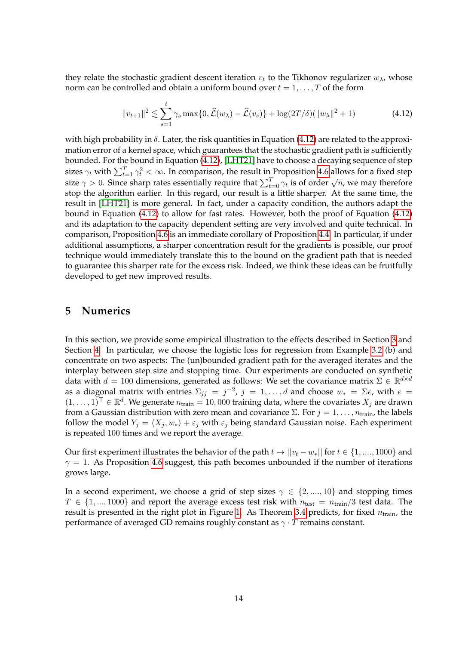they relate the stochastic gradient descent iteration  $v_t$  to the Tikhonov regularizer  $w_{\lambda}$ , whose norm can be controlled and obtain a uniform bound over  $t = 1, \ldots, T$  of the form

<span id="page-13-1"></span>
$$
||v_{t+1}||^2 \lesssim \sum_{s=1}^t \gamma_s \max\{0, \widehat{\mathcal{L}}(w_\lambda) - \widehat{\mathcal{L}}(v_s)\} + \log(2T/\delta)(||w_\lambda||^2 + 1)
$$
 (4.12)

with high probability in  $\delta$ . Later, the risk quantities in Equation [\(4.12\)](#page-13-1) are related to the approximation error of a kernel space, which guarantees that the stochastic gradient path is sufficiently bounded. For the bound in Equation [\(4.12\)](#page-13-1), [\[LHT21\]](#page-16-8) have to choose a decaying sequence of step sizes  $\gamma_t$  with  $\sum_{t=1}^T \gamma_t^2 < \infty$ . In comparison, the result in Proposition [4.6](#page-12-0) allows for a fixed step size  $\gamma > 0$ . Since sharp rates essentially require that  $\sum_{t=0}^{T} \gamma_t$  is of order  $\sqrt{n}$ , we may therefore stop the algorithm earlier. In this regard, our result is a little sharper. At the same time, the result in [\[LHT21\]](#page-16-8) is more general. In fact, under a capacity condition, the authors adapt the bound in Equation [\(4.12\)](#page-13-1) to allow for fast rates. However, both the proof of Equation [\(4.12\)](#page-13-1) and its adaptation to the capacity dependent setting are very involved and quite technical. In comparison, Proposition [4.6](#page-12-0) is an immediate corollary of Proposition [4.4.](#page-11-0) In particular, if under additional assumptions, a sharper concentration result for the gradients is possible, our proof technique would immediately translate this to the bound on the gradient path that is needed to guarantee this sharper rate for the excess risk. Indeed, we think these ideas can be fruitfully developed to get new improved results.

### <span id="page-13-0"></span>**5 Numerics**

In this section, we provide some empirical illustration to the effects described in Section [3](#page-3-0) and Section [4.](#page-9-0) In particular, we choose the logistic loss for regression from Example [3.2](#page-4-1) (b) and concentrate on two aspects: The (un)bounded gradient path for the averaged iterates and the interplay between step size and stopping time. Our experiments are conducted on synthetic data with  $d = 100$  dimensions, generated as follows: We set the covariance matrix  $\Sigma \in \mathbb{R}^{d \times d}$ as a diagonal matrix with entries  $\Sigma_{jj} = j^{-2}$ ,  $j = 1, \ldots, d$  and choose  $w_* = \Sigma e$ , with  $e =$  $(1,\ldots,1)^{\top}\in\mathbb{R}^d$ . We generate  $n_{\text{train}}=10,000$  training data, where the covariates  $X_j$  are drawn from a Gaussian distribution with zero mean and covariance  $\Sigma$ . For  $j = 1, \ldots, n_{\text{train}}$ , the labels follow the model  $Y_i = \langle X_i , w_* \rangle + \varepsilon_i$  with  $\varepsilon_i$  being standard Gaussian noise. Each experiment is repeated 100 times and we report the average.

Our first experiment illustrates the behavior of the path  $t \mapsto ||v_t - w_*||$  for  $t \in \{1, ..., 1000\}$  and  $\gamma = 1$ . As Proposition [4.6](#page-12-0) suggest, this path becomes unbounded if the number of iterations grows large.

In a second experiment, we choose a grid of step sizes  $\gamma \in \{2, ..., 10\}$  and stopping times  $T \in \{1, ..., 1000\}$  and report the average excess test risk with  $n_{test} = n_{train}/3$  test data. The result is presented in the right plot in Figure [1.](#page-14-0) As Theorem [3.4](#page-6-1) predicts, for fixed  $n_{\text{train}}$ , the performance of averaged GD remains roughly constant as  $\gamma \cdot T$  remains constant.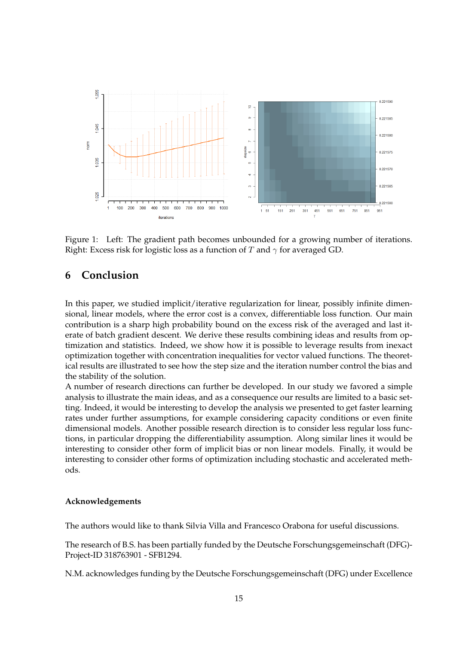

<span id="page-14-0"></span>Figure 1: Left: The gradient path becomes unbounded for a growing number of iterations. Right: Excess risk for logistic loss as a function of T and  $\gamma$  for averaged GD.

### **6 Conclusion**

In this paper, we studied implicit/iterative regularization for linear, possibly infinite dimensional, linear models, where the error cost is a convex, differentiable loss function. Our main contribution is a sharp high probability bound on the excess risk of the averaged and last iterate of batch gradient descent. We derive these results combining ideas and results from optimization and statistics. Indeed, we show how it is possible to leverage results from inexact optimization together with concentration inequalities for vector valued functions. The theoretical results are illustrated to see how the step size and the iteration number control the bias and the stability of the solution.

A number of research directions can further be developed. In our study we favored a simple analysis to illustrate the main ideas, and as a consequence our results are limited to a basic setting. Indeed, it would be interesting to develop the analysis we presented to get faster learning rates under further assumptions, for example considering capacity conditions or even finite dimensional models. Another possible research direction is to consider less regular loss functions, in particular dropping the differentiability assumption. Along similar lines it would be interesting to consider other form of implicit bias or non linear models. Finally, it would be interesting to consider other forms of optimization including stochastic and accelerated methods.

#### **Acknowledgements**

The authors would like to thank Silvia Villa and Francesco Orabona for useful discussions.

The research of B.S. has been partially funded by the Deutsche Forschungsgemeinschaft (DFG)- Project-ID 318763901 - SFB1294.

N.M. acknowledges funding by the Deutsche Forschungsgemeinschaft (DFG) under Excellence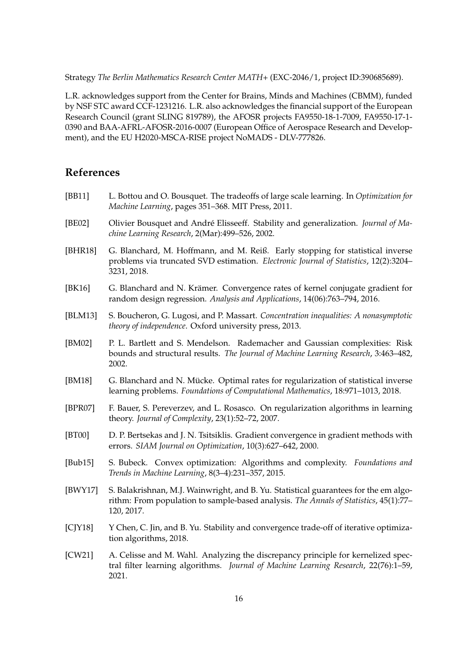Strategy *The Berlin Mathematics Research Center MATH+* (EXC-2046/1, project ID:390685689).

L.R. acknowledges support from the Center for Brains, Minds and Machines (CBMM), funded by NSF STC award CCF-1231216. L.R. also acknowledges the financial support of the European Research Council (grant SLING 819789), the AFOSR projects FA9550-18-1-7009, FA9550-17-1- 0390 and BAA-AFRL-AFOSR-2016-0007 (European Office of Aerospace Research and Development), and the EU H2020-MSCA-RISE project NoMADS - DLV-777826.

### **References**

- <span id="page-15-9"></span>[BB11] L. Bottou and O. Bousquet. The tradeoffs of large scale learning. In *Optimization for Machine Learning*, pages 351–368. MIT Press, 2011.
- <span id="page-15-5"></span>[BE02] Olivier Bousquet and André Elisseeff. Stability and generalization. *Journal of Machine Learning Research*, 2(Mar):499–526, 2002.
- <span id="page-15-0"></span>[BHR18] G. Blanchard, M. Hoffmann, and M. Reiß. Early stopping for statistical inverse problems via truncated SVD estimation. *Electronic Journal of Statistics*, 12(2):3204– 3231, 2018.
- <span id="page-15-4"></span>[BK16] G. Blanchard and N. Krämer. Convergence rates of kernel conjugate gradient for random design regression. *Analysis and Applications*, 14(06):763–794, 2016.
- <span id="page-15-10"></span>[BLM13] S. Boucheron, G. Lugosi, and P. Massart. *Concentration inequalities: A nonasymptotic theory of independence*. Oxford university press, 2013.
- <span id="page-15-12"></span>[BM02] P. L. Bartlett and S. Mendelson. Rademacher and Gaussian complexities: Risk bounds and structural results. *The Journal of Machine Learning Research*, 3:463–482, 2002.
- <span id="page-15-3"></span>[BM18] G. Blanchard and N. Mücke. Optimal rates for regularization of statistical inverse learning problems. *Foundations of Computational Mathematics*, 18:971–1013, 2018.
- <span id="page-15-2"></span>[BPR07] F. Bauer, S. Pereverzev, and L. Rosasco. On regularization algorithms in learning theory. *Journal of Complexity*, 23(1):52–72, 2007.
- <span id="page-15-7"></span>[BT00] D. P. Bertsekas and J. N. Tsitsiklis. Gradient convergence in gradient methods with errors. *SIAM Journal on Optimization*, 10(3):627–642, 2000.
- <span id="page-15-8"></span>[Bub15] S. Bubeck. Convex optimization: Algorithms and complexity. *Foundations and Trends in Machine Learning*, 8(3–4):231–357, 2015.
- <span id="page-15-11"></span>[BWY17] S. Balakrishnan, M.J. Wainwright, and B. Yu. Statistical guarantees for the em algorithm: From population to sample-based analysis. *The Annals of Statistics*, 45(1):77– 120, 2017.
- <span id="page-15-6"></span>[CJY18] Y Chen, C. Jin, and B. Yu. Stability and convergence trade-off of iterative optimization algorithms, 2018.
- <span id="page-15-1"></span>[CW21] A. Celisse and M. Wahl. Analyzing the discrepancy principle for kernelized spectral filter learning algorithms. *Journal of Machine Learning Research*, 22(76):1–59, 2021.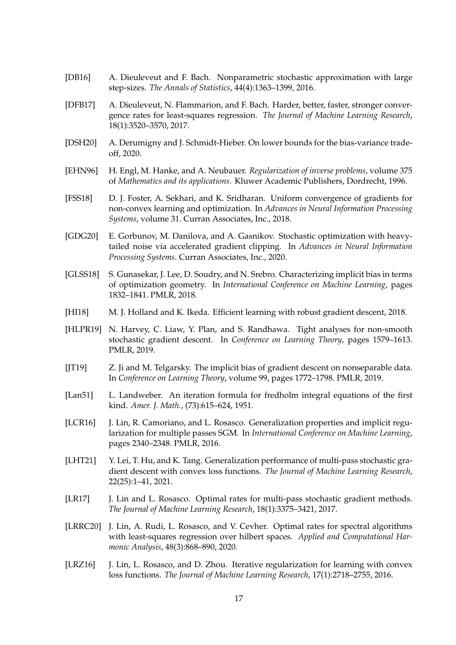- <span id="page-16-4"></span>[DB16] A. Dieuleveut and F. Bach. Nonparametric stochastic approximation with large step-sizes. *The Annals of Statistics*, 44(4):1363–1399, 2016.
- <span id="page-16-3"></span>[DFB17] A. Dieuleveut, N. Flammarion, and F. Bach. Harder, better, faster, stronger convergence rates for least-squares regression. *The Journal of Machine Learning Research*, 18(1):3520–3570, 2017.
- <span id="page-16-15"></span>[DSH20] A. Derumigny and J. Schmidt-Hieber. On lower bounds for the bias-variance tradeoff, 2020.
- <span id="page-16-2"></span>[EHN96] H. Engl, M. Hanke, and A. Neubauer. *Regularization of inverse problems*, volume 375 of *Mathematics and its applications*. Kluwer Academic Publishers, Dordrecht, 1996.
- <span id="page-16-9"></span>[FSS18] D. J. Foster, A. Sekhari, and K. Sridharan. Uniform convergence of gradients for non-convex learning and optimization. In *Advances in Neural Information Processing Systems*, volume 31. Curran Associates, Inc., 2018.
- <span id="page-16-10"></span>[GDG20] E. Gorbunov, M. Danilova, and A. Gasnikov. Stochastic optimization with heavytailed noise via accelerated gradient clipping. In *Advances in Neural Information Processing Systems*. Curran Associates, Inc., 2020.
- <span id="page-16-0"></span>[GLSS18] S. Gunasekar, J. Lee, D. Soudry, and N. Srebro. Characterizing implicit bias in terms of optimization geometry. In *International Conference on Machine Learning*, pages 1832–1841. PMLR, 2018.
- <span id="page-16-12"></span>[HI18] M. J. Holland and K. Ikeda. Efficient learning with robust gradient descent, 2018.
- <span id="page-16-14"></span>[HLPR19] N. Harvey, C. Liaw, Y. Plan, and S. Randhawa. Tight analyses for non-smooth stochastic gradient descent. In *Conference on Learning Theory*, pages 1579–1613. PMLR, 2019.
- <span id="page-16-5"></span>[JT19] Z. Ji and M. Telgarsky. The implicit bias of gradient descent on nonseparable data. In *Conference on Learning Theory*, volume 99, pages 1772–1798. PMLR, 2019.
- <span id="page-16-1"></span>[Lan51] L. Landweber. An iteration formula for fredholm integral equations of the first kind. *Amer. J. Math.*, (73):615–624, 1951.
- <span id="page-16-7"></span>[LCR16] J. Lin, R. Camoriano, and L. Rosasco. Generalization properties and implicit regularization for multiple passes SGM. In *International Conference on Machine Learning*, pages 2340–2348. PMLR, 2016.
- <span id="page-16-8"></span>[LHT21] Y. Lei, T. Hu, and K. Tang. Generalization performance of multi-pass stochastic gradient descent with convex loss functions. *The Journal of Machine Learning Research*, 22(25):1–41, 2021.
- <span id="page-16-11"></span>[LR17] J. Lin and L. Rosasco. Optimal rates for multi-pass stochastic gradient methods. *The Journal of Machine Learning Research*, 18(1):3375–3421, 2017.
- <span id="page-16-13"></span>[LRRC20] J. Lin, A. Rudi, L. Rosasco, and V. Cevher. Optimal rates for spectral algorithms with least-squares regression over hilbert spaces. *Applied and Computational Harmonic Analysis*, 48(3):868–890, 2020.
- <span id="page-16-6"></span>[LRZ16] J. Lin, L. Rosasco, and D. Zhou. Iterative regularization for learning with convex loss functions. *The Journal of Machine Learning Research*, 17(1):2718–2755, 2016.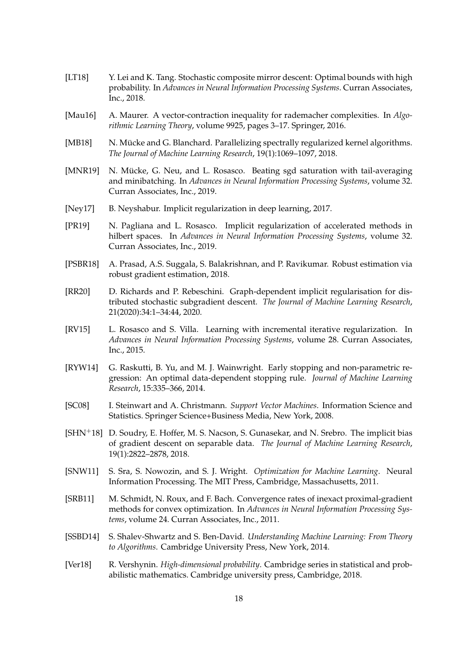- <span id="page-17-14"></span>[LT18] Y. Lei and K. Tang. Stochastic composite mirror descent: Optimal bounds with high probability. In *Advances in Neural Information Processing Systems*. Curran Associates, Inc., 2018.
- <span id="page-17-13"></span>[Mau16] A. Maurer. A vector-contraction inequality for rademacher complexities. In *Algorithmic Learning Theory*, volume 9925, pages 3–17. Springer, 2016.
- <span id="page-17-7"></span>[MB18] N. Mücke and G. Blanchard. Parallelizing spectrally regularized kernel algorithms. *The Journal of Machine Learning Research*, 19(1):1069–1097, 2018.
- <span id="page-17-5"></span>[MNR19] N. Mücke, G. Neu, and L. Rosasco. Beating sgd saturation with tail-averaging and minibatching. In *Advances in Neural Information Processing Systems*, volume 32. Curran Associates, Inc., 2019.
- <span id="page-17-2"></span>[Ney17] B. Neyshabur. Implicit regularization in deep learning, 2017.
- <span id="page-17-6"></span>[PR19] N. Pagliana and L. Rosasco. Implicit regularization of accelerated methods in hilbert spaces. In *Advances in Neural Information Processing Systems*, volume 32. Curran Associates, Inc., 2019.
- <span id="page-17-12"></span>[PSBR18] A. Prasad, A.S. Suggala, S. Balakrishnan, and P. Ravikumar. Robust estimation via robust gradient estimation, 2018.
- <span id="page-17-8"></span>[RR20] D. Richards and P. Rebeschini. Graph-dependent implicit regularisation for distributed stochastic subgradient descent. *The Journal of Machine Learning Research*, 21(2020):34:1–34:44, 2020.
- <span id="page-17-3"></span>[RV15] L. Rosasco and S. Villa. Learning with incremental iterative regularization. In *Advances in Neural Information Processing Systems*, volume 28. Curran Associates, Inc., 2015.
- <span id="page-17-4"></span>[RYW14] G. Raskutti, B. Yu, and M. J. Wainwright. Early stopping and non-parametric regression: An optimal data-dependent stopping rule. *Journal of Machine Learning Research*, 15:335–366, 2014.
- <span id="page-17-11"></span>[SC08] I. Steinwart and A. Christmann. *Support Vector Machines*. Information Science and Statistics. Springer Science+Business Media, New York, 2008.
- <span id="page-17-9"></span> $[SHN+18]$  D. Soudry, E. Hoffer, M. S. Nacson, S. Gunasekar, and N. Srebro. The implicit bias of gradient descent on separable data. *The Journal of Machine Learning Research*, 19(1):2822–2878, 2018.
- <span id="page-17-0"></span>[SNW11] S. Sra, S. Nowozin, and S. J. Wright. *Optimization for Machine Learning*. Neural Information Processing. The MIT Press, Cambridge, Massachusetts, 2011.
- <span id="page-17-10"></span>[SRB11] M. Schmidt, N. Roux, and F. Bach. Convergence rates of inexact proximal-gradient methods for convex optimization. In *Advances in Neural Information Processing Systems*, volume 24. Curran Associates, Inc., 2011.
- <span id="page-17-1"></span>[SSBD14] S. Shalev-Shwartz and S. Ben-David. *Understanding Machine Learning: From Theory to Algorithms*. Cambridge University Press, New York, 2014.
- <span id="page-17-15"></span>[Ver18] R. Vershynin. *High-dimensional probability*. Cambridge series in statistical and probabilistic mathematics. Cambridge university press, Cambridge, 2018.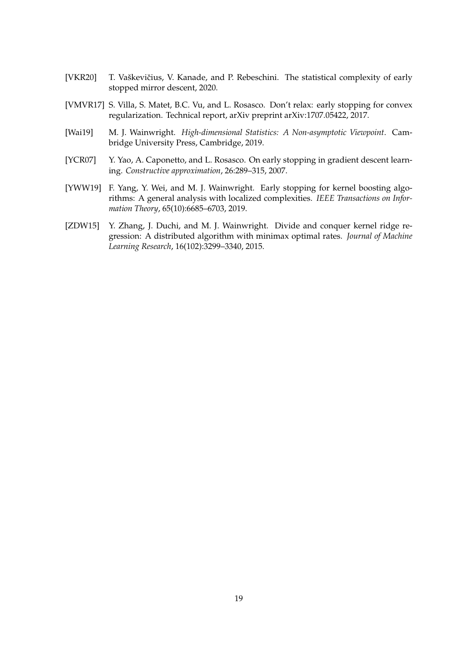- <span id="page-18-3"></span>[VKR20] T. Vaškevičius, V. Kanade, and P. Rebeschini. The statistical complexity of early stopped mirror descent, 2020.
- <span id="page-18-4"></span>[VMVR17] S. Villa, S. Matet, B.C. Vu, and L. Rosasco. Don't relax: early stopping for convex regularization. Technical report, arXiv preprint arXiv:1707.05422, 2017.
- <span id="page-18-5"></span>[Wai19] M. J. Wainwright. *High-dimensional Statistics: A Non-asymptotic Viewpoint*. Cambridge University Press, Cambridge, 2019.
- <span id="page-18-1"></span>[YCR07] Y. Yao, A. Caponetto, and L. Rosasco. On early stopping in gradient descent learning. *Constructive approximation*, 26:289–315, 2007.
- <span id="page-18-0"></span>[YWW19] F. Yang, Y. Wei, and M. J. Wainwright. Early stopping for kernel boosting algorithms: A general analysis with localized complexities. *IEEE Transactions on Information Theory*, 65(10):6685–6703, 2019.
- <span id="page-18-2"></span>[ZDW15] Y. Zhang, J. Duchi, and M. J. Wainwright. Divide and conquer kernel ridge regression: A distributed algorithm with minimax optimal rates. *Journal of Machine Learning Research*, 16(102):3299–3340, 2015.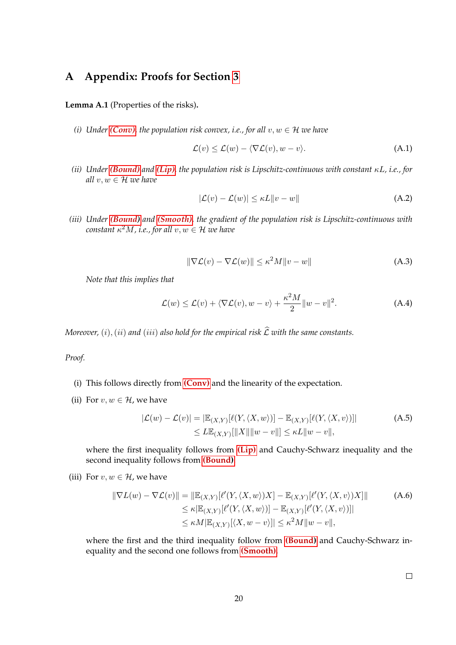## <span id="page-19-1"></span>**A Appendix: Proofs for Section [3](#page-3-0)**

<span id="page-19-0"></span>**Lemma A.1** (Properties of the risks)**.**

*(i) Under [\(Conv\)](#page-3-0), the population risk convex, i.e., for all*  $v, w \in H$  *we have* 

<span id="page-19-2"></span>
$$
\mathcal{L}(v) \le \mathcal{L}(w) - \langle \nabla \mathcal{L}(v), w - v \rangle.
$$
 (A.1)

*(ii) Under [\(Bound\)](#page-2-0) and [\(Lip\)](#page-3-0), the population risk is Lipschitz-continuous with constant* κL*, i.e., for all* v, w ∈ H *we have*

<span id="page-19-5"></span><span id="page-19-4"></span>
$$
|\mathcal{L}(v) - \mathcal{L}(w)| \le \kappa L \|v - w\| \tag{A.2}
$$

*(iii) Under [\(Bound\)](#page-2-0) and [\(Smooth\)](#page-3-2), the gradient of the population risk is Lipschitz-continuous with*  $\mathit{constant}\ \kappa^2M$  , i.e., for all  $v,w\in\mathcal{H}$  we have

<span id="page-19-3"></span>
$$
\|\nabla \mathcal{L}(v) - \nabla \mathcal{L}(w)\| \le \kappa^2 M \|v - w\| \tag{A.3}
$$

*Note that this implies that*

$$
\mathcal{L}(w) \le \mathcal{L}(v) + \langle \nabla \mathcal{L}(v), w - v \rangle + \frac{\kappa^2 M}{2} ||w - v||^2.
$$
 (A.4)

*Moreover,* (i), (ii) and (iii) also hold for the empirical risk  $\hat{\mathcal{L}}$  with the same constants.

*Proof.*

- (i) This follows directly from **[\(Conv\)](#page-3-0)** and the linearity of the expectation.
- (ii) For  $v, w \in \mathcal{H}$ , we have

$$
|\mathcal{L}(w) - \mathcal{L}(v)| = |\mathbb{E}_{(X,Y)}[\ell(Y, \langle X, w \rangle)] - \mathbb{E}_{(X,Y)}[\ell(Y, \langle X, v \rangle)]|
$$
  
\n
$$
\leq L \mathbb{E}_{(X,Y)}[\|X\| \|w - v\|] \leq \kappa L \|w - v\|,
$$
\n(A.5)

where the first inequality follows from **[\(Lip\)](#page-3-0)** and Cauchy-Schwarz inequality and the second inequality follows from **[\(Bound\)](#page-2-0)**.

(iii) For  $v, w \in H$ , we have

$$
\|\nabla L(w) - \nabla \mathcal{L}(v)\| = \|\mathbb{E}_{(X,Y)}[\ell'(Y, \langle X, w \rangle)X] - \mathbb{E}_{(X,Y)}[\ell'(Y, \langle X, v \rangle)X]\|
$$
\n
$$
\leq \kappa |\mathbb{E}_{(X,Y)}[\ell'(Y, \langle X, w \rangle)] - \mathbb{E}_{(X,Y)}[\ell'(Y, \langle X, v \rangle)]]
$$
\n
$$
\leq \kappa M |\mathbb{E}_{(X,Y)}[\langle X, w - v \rangle] | \leq \kappa^2 M \|w - v\|,
$$
\n(A.6)

where the first and the third inequality follow from **[\(Bound\)](#page-2-0)** and Cauchy-Schwarz inequality and the second one follows from **[\(Smooth\)](#page-3-2)**.

 $\Box$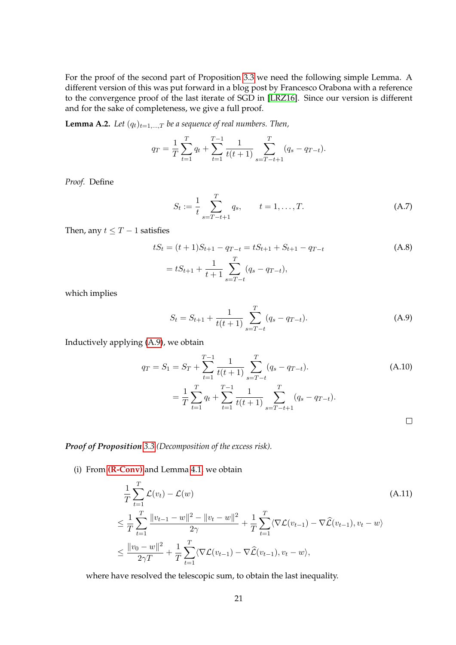For the proof of the second part of Proposition [3.3](#page-5-0) we need the following simple Lemma. A different version of this was put forward in a blog post by Francesco Orabona with a reference to the convergence proof of the last iterate of SGD in [\[LRZ16\]](#page-16-6). Since our version is different and for the sake of completeness, we give a full proof.

<span id="page-20-2"></span>**Lemma A.2.** *Let*  $(q_t)_{t=1,\dots,T}$  *be a sequence of real numbers. Then,* 

$$
q_T = \frac{1}{T} \sum_{t=1}^T q_t + \sum_{t=1}^{T-1} \frac{1}{t(t+1)} \sum_{s=T-t+1}^T (q_s - q_{T-t}).
$$

*Proof.* Define

$$
S_t := \frac{1}{t} \sum_{s=T-t+1}^{T} q_s, \qquad t = 1, \dots, T.
$$
 (A.7)

Then, any  $t \leq T - 1$  satisfies

$$
tS_t = (t+1)S_{t+1} - q_{T-t} = tS_{t+1} + S_{t+1} - q_{T-t}
$$
\n
$$
= tS_{t+1} + \frac{1}{t+1} \sum_{s=T-t}^{T} (q_s - q_{T-t}),
$$
\n(A.8)

which implies

<span id="page-20-1"></span><span id="page-20-0"></span>
$$
S_t = S_{t+1} + \frac{1}{t(t+1)} \sum_{s=T-t}^{T} (q_s - q_{T-t}).
$$
 (A.9)

Inductively applying [\(A.9\)](#page-20-1), we obtain

$$
q_T = S_1 = S_T + \sum_{t=1}^{T-1} \frac{1}{t(t+1)} \sum_{s=T-t}^{T} (q_s - q_{T-t}).
$$
\n
$$
= \frac{1}{T} \sum_{t=1}^{T} q_t + \sum_{t=1}^{T-1} \frac{1}{t(t+1)} \sum_{s=T-t+1}^{T} (q_s - q_{T-t}).
$$
\n
$$
\Box
$$

*Proof of Proposition [3.3](#page-5-0) (Decomposition of the excess risk).*

(i) From **[\(R-Conv\)](#page-4-2)** and Lemma [4.1,](#page-10-1) we obtain

$$
\frac{1}{T} \sum_{t=1}^{T} \mathcal{L}(v_t) - \mathcal{L}(w) \tag{A.11}
$$
\n
$$
\leq \frac{1}{T} \sum_{t=1}^{T} \frac{\|v_{t-1} - w\|^2 - \|v_t - w\|^2}{2\gamma} + \frac{1}{T} \sum_{t=1}^{T} \langle \nabla \mathcal{L}(v_{t-1}) - \nabla \hat{\mathcal{L}}(v_{t-1}), v_t - w \rangle
$$
\n
$$
\leq \frac{\|v_0 - w\|^2}{2\gamma T} + \frac{1}{T} \sum_{t=1}^{T} \langle \nabla \mathcal{L}(v_{t-1}) - \nabla \hat{\mathcal{L}}(v_{t-1}), v_t - w \rangle,
$$

where have resolved the telescopic sum, to obtain the last inequality.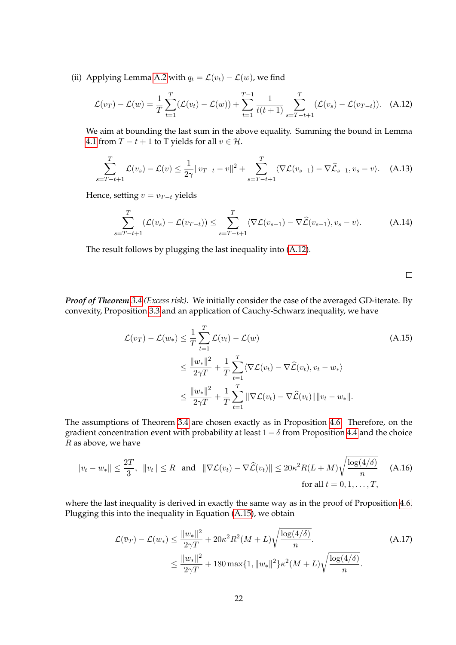(ii) Applying Lemma [A.2](#page-20-2) with  $q_t = \mathcal{L}(v_t) - \mathcal{L}(w)$ , we find

$$
\mathcal{L}(v_T) - \mathcal{L}(w) = \frac{1}{T} \sum_{t=1}^T (\mathcal{L}(v_t) - \mathcal{L}(w)) + \sum_{t=1}^{T-1} \frac{1}{t(t+1)} \sum_{s=T-t+1}^T (\mathcal{L}(v_s) - \mathcal{L}(v_{T-t})).
$$
 (A.12)

We aim at bounding the last sum in the above equality. Summing the bound in Lemma [4.1](#page-10-1) from  $T - t + 1$  to T yields for all  $v \in \mathcal{H}$ .

$$
\sum_{s=T-t+1}^{T} \mathcal{L}(v_s) - \mathcal{L}(v) \le \frac{1}{2\gamma} \|v_{T-t} - v\|^2 + \sum_{s=T-t+1}^{T} \langle \nabla \mathcal{L}(v_{s-1}) - \nabla \widehat{\mathcal{L}}_{s-1}, v_s - v \rangle.
$$
 (A.13)

Hence, setting  $v = v_{T-t}$  yields

$$
\sum_{s=T-t+1}^{T} (\mathcal{L}(v_s) - \mathcal{L}(v_{T-t})) \leq \sum_{s=T-t+1}^{T} \langle \nabla \mathcal{L}(v_{s-1}) - \nabla \widehat{\mathcal{L}}(v_{s-1}), v_s - v \rangle.
$$
 (A.14)

The result follows by plugging the last inequality into [\(A.12\)](#page-21-1).

<span id="page-21-2"></span><span id="page-21-1"></span><span id="page-21-0"></span> $\Box$ 

*Proof of Theorem [3.4](#page-6-1) (Excess risk).* We initially consider the case of the averaged GD-iterate. By convexity, Proposition [3.3](#page-5-0) and an application of Cauchy-Schwarz inequality, we have

$$
\mathcal{L}(\overline{v}_T) - \mathcal{L}(w_*) \leq \frac{1}{T} \sum_{t=1}^T \mathcal{L}(v_t) - \mathcal{L}(w)
$$
\n
$$
\leq \frac{\|w_*\|^2}{2\gamma T} + \frac{1}{T} \sum_{t=1}^T \langle \nabla \mathcal{L}(v_t) - \nabla \widehat{\mathcal{L}}(v_t), v_t - w_* \rangle
$$
\n
$$
\leq \frac{\|w_*\|^2}{2\gamma T} + \frac{1}{T} \sum_{t=1}^T \|\nabla \mathcal{L}(v_t) - \nabla \widehat{\mathcal{L}}(v_t)\| \|v_t - w_*\|.
$$
\n(A.15)

The assumptions of Theorem [3.4](#page-6-1) are chosen exactly as in Proposition [4.6.](#page-12-0) Therefore, on the gradient concentration event with probability at least  $1 - \delta$  from Proposition [4.4](#page-11-0) and the choice  $R$  as above, we have

$$
||v_t - w_*|| \le \frac{2T}{3}, \quad ||v_t|| \le R \quad \text{and} \quad ||\nabla \mathcal{L}(v_t) - \nabla \widehat{\mathcal{L}}(v_t)|| \le 20\kappa^2 R(L+M)\sqrt{\frac{\log(4/\delta)}{n}} \quad \text{(A.16)}
$$
\n
$$
\text{for all } t = 0, 1, \dots, T,
$$

where the last inequality is derived in exactly the same way as in the proof of Proposition [4.6.](#page-12-0) Plugging this into the inequality in Equation [\(A.15\)](#page-21-2), we obtain

$$
\mathcal{L}(\overline{v}_T) - \mathcal{L}(w_*) \le \frac{\|w_*\|^2}{2\gamma T} + 20\kappa^2 R^2 (M+L) \sqrt{\frac{\log(4/\delta)}{n}}.
$$
\n(A.17)\n
$$
\le \frac{\|w_*\|^2}{2\gamma T} + 180 \max\{1, \|w_*\|^2\} \kappa^2 (M+L) \sqrt{\frac{\log(4/\delta)}{n}}.
$$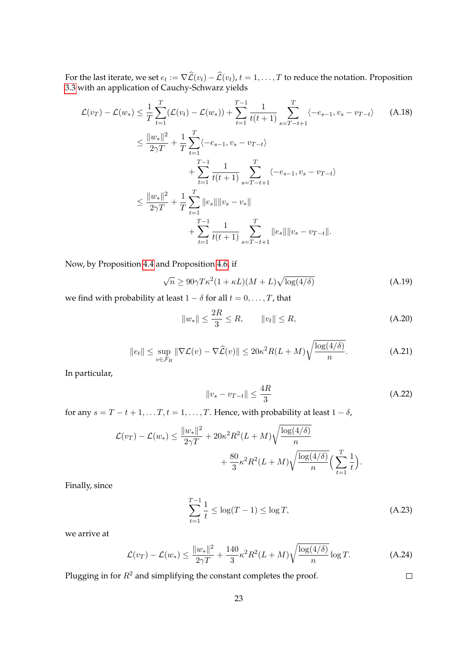For the last iterate, we set  $e_t := \nabla \mathcal{L}(v_t) - \mathcal{L}(v_t)$ ,  $t = 1, \ldots, T$  to reduce the notation. Proposition [3.3](#page-5-0) with an application of Cauchy-Schwarz yields

$$
\mathcal{L}(v_T) - \mathcal{L}(w_*) \leq \frac{1}{T} \sum_{t=1}^T (\mathcal{L}(v_t) - \mathcal{L}(w_*)) + \sum_{t=1}^{T-1} \frac{1}{t(t+1)} \sum_{s=T-t+1}^T \langle -e_{s-1}, v_s - v_{T-t} \rangle \leq \frac{\|w_*\|^2}{2\gamma T} + \frac{1}{T} \sum_{t=1}^T \langle -e_{s-1}, v_s - v_{T-t} \rangle + \sum_{t=1}^{T-1} \frac{1}{t(t+1)} \sum_{s=T-t+1}^T \langle -e_{s-1}, v_s - v_{T-t} \rangle \leq \frac{\|w_*\|^2}{2\gamma T} + \frac{1}{T} \sum_{t=1}^T \|e_s\| \|v_s - v_*\| + \sum_{t=1}^{T-1} \frac{1}{t(t+1)} \sum_{s=T-t+1}^T \|e_s\| \|v_s - v_{T-t}\|.
$$
\n(A.18)

Now, by Proposition [4.4](#page-11-0) and Proposition [4.6,](#page-12-0) if

$$
\sqrt{n} \ge 90\gamma T\kappa^2 (1 + \kappa L)(M + L)\sqrt{\log(4/\delta)}
$$
\n(A.19)

we find with probability at least  $1 - \delta$  for all  $t = 0, \ldots, T$ , that

$$
||w_*|| \le \frac{2R}{3} \le R, \qquad ||v_t|| \le R,\tag{A.20}
$$

$$
\|e_t\| \le \sup_{v \in \mathcal{F}_R} \|\nabla \mathcal{L}(v) - \nabla \widehat{\mathcal{L}}(v)\| \le 20\kappa^2 R(L+M)\sqrt{\frac{\log(4/\delta)}{n}}.\tag{A.21}
$$

In particular,

$$
||v_s - v_{T-t}|| \le \frac{4R}{3}
$$
 (A.22)

for any  $s = T - t + 1, \ldots, T$ ,  $t = 1, \ldots, T$ . Hence, with probability at least  $1 - \delta$ ,

$$
\mathcal{L}(v_T) - \mathcal{L}(w_*) \le \frac{||w_*||^2}{2\gamma T} + 20\kappa^2 R^2 (L+M) \sqrt{\frac{\log(4/\delta)}{n}} + \frac{80}{3}\kappa^2 R^2 (L+M) \sqrt{\frac{\log(4/\delta)}{n}} \left(\sum_{t=1}^T \frac{1}{t}\right).
$$

Finally, since

$$
\sum_{t=1}^{T-1} \frac{1}{t} \le \log(T-1) \le \log T,\tag{A.23}
$$

 $\Box$ 

we arrive at

$$
\mathcal{L}(v_T) - \mathcal{L}(w_*) \le \frac{\|w_*\|^2}{2\gamma T} + \frac{140}{3} \kappa^2 R^2 (L+M) \sqrt{\frac{\log(4/\delta)}{n}} \log T.
$$
 (A.24)

Plugging in for  $R^2$  and simplifying the constant completes the proof.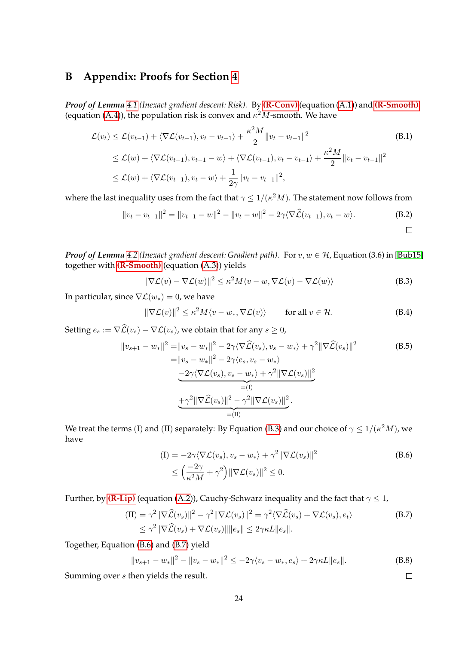## <span id="page-23-0"></span>**B Appendix: Proofs for Section [4](#page-9-0)**

*Proof of Lemma [4.1](#page-10-1) (Inexact gradient descent: Risk).* By **[\(R-Conv\)](#page-4-2)** (equation [\(A.1\)](#page-19-2)) and **[\(R-Smooth\)](#page-4-2)** (equation [\(A.4\)](#page-19-3)), the population risk is convex and  $\kappa^2 M$ -smooth. We have

$$
\mathcal{L}(v_t) \leq \mathcal{L}(v_{t-1}) + \langle \nabla \mathcal{L}(v_{t-1}), v_t - v_{t-1} \rangle + \frac{\kappa^2 M}{2} ||v_t - v_{t-1}||^2
$$
\n
$$
\leq \mathcal{L}(w) + \langle \nabla \mathcal{L}(v_{t-1}), v_{t-1} - w \rangle + \langle \nabla \mathcal{L}(v_{t-1}), v_t - v_{t-1} \rangle + \frac{\kappa^2 M}{2} ||v_t - v_{t-1}||^2
$$
\n
$$
\leq \mathcal{L}(w) + \langle \nabla \mathcal{L}(v_{t-1}), v_t - w \rangle + \frac{1}{2\gamma} ||v_t - v_{t-1}||^2,
$$
\n(B.1)

where the last inequality uses from the fact that  $\gamma \leq 1/(\kappa^2 M).$  The statement now follows from

$$
||v_t - v_{t-1}||^2 = ||v_{t-1} - w||^2 - ||v_t - w||^2 - 2\gamma \langle \nabla \widehat{\mathcal{L}}(v_{t-1}), v_t - w \rangle.
$$
 (B.2)

*Proof of Lemma* [4.2](#page-10-2) (Inexact gradient descent: Gradient path). For  $v, w \in H$ , Equation (3.6) in [\[Bub15\]](#page-15-8) together with **[\(R-Smooth\)](#page-4-2)** (equation [\(A.3\)](#page-19-4)) yields

<span id="page-23-2"></span>
$$
\|\nabla \mathcal{L}(v) - \nabla \mathcal{L}(w)\|^2 \le \kappa^2 M \langle v - w, \nabla \mathcal{L}(v) - \nabla \mathcal{L}(w) \rangle \tag{B.3}
$$

In particular, since  $\nabla \mathcal{L}(w_*) = 0$ , we have

$$
\|\nabla \mathcal{L}(v)\|^2 \le \kappa^2 M \langle v - w_*, \nabla \mathcal{L}(v) \rangle \qquad \text{for all } v \in \mathcal{H}.
$$
 (B.4)

Setting  $e_s := \nabla \widehat{\mathcal{L}}(v_s) - \nabla \mathcal{L}(v_s)$ , we obtain that for any  $s \geq 0$ ,

$$
||v_{s+1} - w_{*}||^{2} = ||v_{s} - w_{*}||^{2} - 2\gamma \langle \nabla \hat{\mathcal{L}}(v_{s}), v_{s} - w_{*} \rangle + \gamma^{2} ||\nabla \hat{\mathcal{L}}(v_{s})||^{2}
$$
\n
$$
= ||v_{s} - w_{*}||^{2} - 2\gamma \langle e_{s}, v_{s} - w_{*} \rangle
$$
\n
$$
-2\gamma \langle \nabla \mathcal{L}(v_{s}), v_{s} - w_{*} \rangle + \gamma^{2} ||\nabla \mathcal{L}(v_{s})||^{2}
$$
\n
$$
= (I)
$$
\n
$$
+ \gamma^{2} ||\nabla \hat{\mathcal{L}}(v_{s})||^{2} - \gamma^{2} ||\nabla \mathcal{L}(v_{s})||^{2}.
$$
\n
$$
= (II)
$$

We treat the terms (I) and (II) separately: By Equation [\(B.3\)](#page-23-2) and our choice of  $\gamma \leq 1/(\kappa^2M)$ , we have

$$
\begin{aligned} \n(I) &= -2\gamma \langle \nabla \mathcal{L}(v_s), v_s - w_* \rangle + \gamma^2 \|\nabla \mathcal{L}(v_s)\|^2 \\ \n&\le \left(\frac{-2\gamma}{\kappa^2 M} + \gamma^2\right) \|\nabla \mathcal{L}(v_s)\|^2 \le 0. \n\end{aligned} \tag{B.6}
$$

Further, by **[\(R-Lip\)](#page-4-2)** (equation [\(A.2\)](#page-19-5)), Cauchy-Schwarz inequality and the fact that  $\gamma \leq 1$ ,

$$
\begin{aligned} (\text{II}) &= \gamma^2 \|\nabla \widehat{\mathcal{L}}(v_s)\|^2 - \gamma^2 \|\nabla \mathcal{L}(v_s)\|^2 = \gamma^2 \langle \nabla \widehat{\mathcal{L}}(v_s) + \nabla \mathcal{L}(v_s), e_t \rangle \\ &\le \gamma^2 \|\nabla \widehat{\mathcal{L}}(v_s) + \nabla \mathcal{L}(v_s)\| \|e_s\| \le 2\gamma \kappa L \|e_s\|. \end{aligned} \tag{B.7}
$$

Together, Equation [\(B.6\)](#page-23-3) and [\(B.7\)](#page-23-4) yield

$$
||v_{s+1} - w_*||^2 - ||v_s - w_*||^2 \le -2\gamma \langle v_s - w_*, e_s \rangle + 2\gamma \kappa L ||e_s||. \tag{B.8}
$$

<span id="page-23-4"></span><span id="page-23-3"></span><span id="page-23-1"></span> $\Box$ 

Summing over s then yields the result.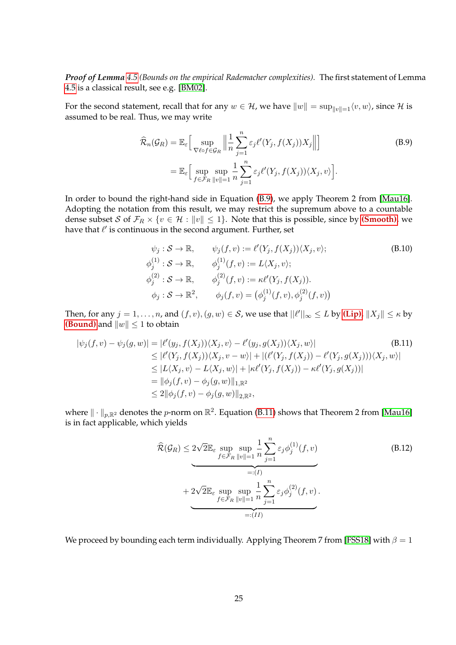*Proof of Lemma [4.5](#page-11-2) (Bounds on the empirical Rademacher complexities).* The first statement of Lemma [4.5](#page-11-2) is a classical result, see e.g. [\[BM02\]](#page-15-12).

For the second statement, recall that for any  $w \in \mathcal{H}$ , we have  $||w|| = \sup_{||v|| = 1} \langle v, w \rangle$ , since  $\mathcal H$  is assumed to be real. Thus, we may write

<span id="page-24-0"></span>
$$
\widehat{\mathcal{R}}_n(\mathcal{G}_R) = \mathbb{E}_{\varepsilon} \Big[ \sup_{\nabla \ell \circ f \in \mathcal{G}_R} \Big\| \frac{1}{n} \sum_{j=1}^n \varepsilon_j \ell'(Y_j, f(X_j)) X_j \Big\| \Big]
$$
\n
$$
= \mathbb{E}_{\varepsilon} \Big[ \sup_{f \in \mathcal{F}_R} \sup_{\|v\| = 1} \frac{1}{n} \sum_{j=1}^n \varepsilon_j \ell'(Y_j, f(X_j)) \langle X_j, v \rangle \Big]. \tag{B.9}
$$

In order to bound the right-hand side in Equation [\(B.9\)](#page-24-0), we apply Theorem 2 from [\[Mau16\]](#page-17-13). Adopting the notation from this result, we may restrict the supremum above to a countable dense subset S of  $\mathcal{F}_R \times \{v \in \mathcal{H} : ||v|| \leq 1\}$ . Note that this is possible, since by **[\(Smooth\)](#page-3-2)**, we have that  $\ell'$  is continuous in the second argument. Further, set

$$
\psi_j : \mathcal{S} \to \mathbb{R}, \qquad \psi_j(f, v) := \ell'(Y_j, f(X_j)) \langle X_j, v \rangle; \n\phi_j^{(1)} : \mathcal{S} \to \mathbb{R}, \qquad \phi_j^{(1)}(f, v) := L \langle X_j, v \rangle; \n\phi_j^{(2)} : \mathcal{S} \to \mathbb{R}, \qquad \phi_j^{(2)}(f, v) := \kappa \ell'(Y_j, f(X_j)). \n\phi_j : \mathcal{S} \to \mathbb{R}^2, \qquad \phi_j(f, v) = (\phi_j^{(1)}(f, v), \phi_j^{(2)}(f, v))
$$
\n(B.10)

Then, for any  $j = 1, \ldots, n$ , and  $(f, v), (g, w) \in S$ , we use that  $||\ell'||_{\infty} \leq L$  by [\(Lip\)](#page-3-0),  $||X_j|| \leq \kappa$  by **[\(Bound\)](#page-2-0)** and  $||w|| \le 1$  to obtain

$$
|\psi_j(f, v) - \psi_j(g, w)| = |\ell'(y_j, f(X_j))\langle X_j, v\rangle - \ell'(y_j, g(X_j))\langle X_j, w\rangle|
$$
\n
$$
\leq |\ell'(Y_j, f(X_j))\langle X_j, v - w\rangle| + |(\ell'(Y_j, f(X_j)) - \ell'(Y_j, g(X_j)))\langle X_j, w\rangle|
$$
\n
$$
\leq |L\langle X_j, v\rangle - L\langle X_j, w\rangle| + |\kappa \ell'(Y_j, f(X_j)) - \kappa \ell'(Y_j, g(X_j))|
$$
\n
$$
= ||\phi_j(f, v) - \phi_j(g, w)||_{1, \mathbb{R}^2}
$$
\n
$$
\leq 2||\phi_j(f, v) - \phi_j(g, w)||_{2, \mathbb{R}^2},
$$
\n(B.11)

where  $\|\cdot\|_{p,\mathbb{R}^2}$  denotes the  $p$ -norm on  $\mathbb{R}^2$ . Equation [\(B.11\)](#page-24-1) shows that Theorem 2 from [\[Mau16\]](#page-17-13) is in fact applicable, which yields

<span id="page-24-1"></span>
$$
\hat{\mathcal{R}}(\mathcal{G}_R) \le 2\sqrt{2}\mathbb{E}_{\varepsilon} \sup_{f \in \mathcal{F}_R} \sup_{\|v\|=1} \frac{1}{n} \sum_{j=1}^n \varepsilon_j \phi_j^{(1)}(f, v)
$$
\n
$$
+ 2\sqrt{2}\mathbb{E}_{\varepsilon} \sup_{f \in \mathcal{F}_R} \sup_{\|v\|=1} \frac{1}{n} \sum_{j=1}^n \varepsilon_j \phi_j^{(2)}(f, v).
$$
\n
$$
(B.12)
$$
\n
$$
+ \underbrace{2\sqrt{2}\mathbb{E}_{\varepsilon} \sup_{f \in \mathcal{F}_R} \sup_{\|v\|=1} \frac{1}{n} \sum_{j=1}^n \varepsilon_j \phi_j^{(2)}(f, v)}_{=: (II)}
$$

We proceed by bounding each term individually. Applying Theorem 7 from [\[FSS18\]](#page-16-9) with  $\beta = 1$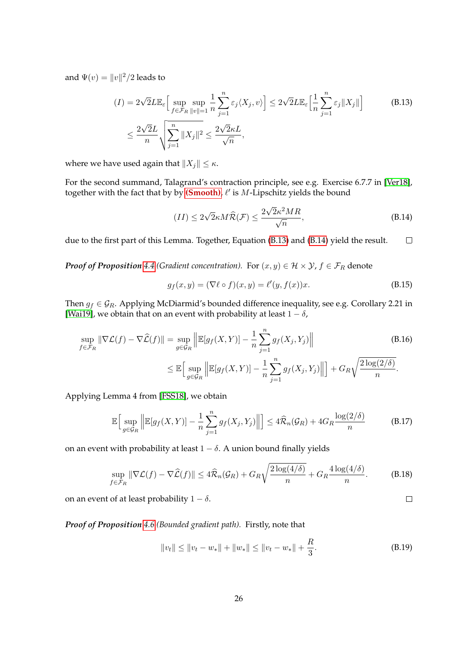and  $\Psi(v) = ||v||^2/2$  leads to

$$
(I) = 2\sqrt{2}L\mathbb{E}_{\varepsilon} \Big[ \sup_{f \in \mathcal{F}_R} \sup_{\|v\| = 1} \frac{1}{n} \sum_{j=1}^n \varepsilon_j \langle X_j, v \rangle \Big] \le 2\sqrt{2}L\mathbb{E}_{\varepsilon} \Big[ \frac{1}{n} \sum_{j=1}^n \varepsilon_j \|X_j\| \Big] \tag{B.13}
$$

$$
\le \frac{2\sqrt{2}L}{n} \sqrt{\sum_{j=1}^n \|X_j\|^2} \le \frac{2\sqrt{2}\kappa L}{\sqrt{n}},
$$

where we have used again that  $||X_i|| \leq \kappa$ .

For the second summand, Talagrand's contraction principle, see e.g. Exercise 6.7.7 in [\[Ver18\]](#page-17-15), together with the fact that by by [\(Smooth\)](#page-3-2),  $\ell'$  is M-Lipschitz yields the bound

<span id="page-25-2"></span><span id="page-25-0"></span>
$$
(II) \le 2\sqrt{2}\kappa M\widehat{\mathcal{R}}(\mathcal{F}) \le \frac{2\sqrt{2}\kappa^2 MR}{\sqrt{n}},\tag{B.14}
$$

due to the first part of this Lemma. Together, Equation [\(B.13\)](#page-25-2) and [\(B.14\)](#page-25-0) yield the result.  $\Box$ 

*Proof of Proposition* [4.4](#page-11-0) (*Gradient concentration*). For  $(x, y) \in \mathcal{H} \times \mathcal{Y}$ ,  $f \in \mathcal{F}_R$  denote

$$
g_f(x, y) = (\nabla \ell \circ f)(x, y) = \ell'(y, f(x))x.
$$
\n(B.15)

Then  $g_f \in \mathcal{G}_R$ . Applying McDiarmid's bounded difference inequality, see e.g. Corollary 2.21 in [\[Wai19\]](#page-18-5), we obtain that on an event with probability at least  $1 - \delta$ ,

$$
\sup_{f \in \mathcal{F}_R} \|\nabla \mathcal{L}(f) - \nabla \widehat{\mathcal{L}}(f)\| = \sup_{g \in \mathcal{G}_R} \left\| \mathbb{E}[g_f(X, Y)] - \frac{1}{n} \sum_{j=1}^n g_f(X_j, Y_j) \right\|
$$
\n
$$
\leq \mathbb{E}\Big[\sup_{g \in \mathcal{G}_R} \left\| \mathbb{E}[g_f(X, Y)] - \frac{1}{n} \sum_{j=1}^n g_f(X_j, Y_j) \right\| \Big] + G_R \sqrt{\frac{2\log(2/\delta)}{n}}.
$$
\n(B.16)

Applying Lemma 4 from [\[FSS18\]](#page-16-9), we obtain

$$
\mathbb{E}\Big[\sup_{g\in\mathcal{G}_R}\Big\|\mathbb{E}[g_f(X,Y)] - \frac{1}{n}\sum_{j=1}^n g_f(X_j,Y_j)\Big\|\Big] \leq 4\widehat{\mathcal{R}}_n(\mathcal{G}_R) + 4G_R\frac{\log(2/\delta)}{n} \tag{B.17}
$$

on an event with probability at least  $1 - \delta$ . A union bound finally yields

$$
\sup_{f \in \mathcal{F}_R} \|\nabla \mathcal{L}(f) - \nabla \widehat{\mathcal{L}}(f)\| \le 4\widehat{\mathcal{R}}_n(\mathcal{G}_R) + G_R \sqrt{\frac{2\log(4/\delta)}{n}} + G_R \frac{4\log(4/\delta)}{n}.
$$
 (B.18)

on an event of at least probability  $1 - \delta$ .

#### *Proof of Proposition [4.6](#page-12-0) (Bounded gradient path).* Firstly, note that

$$
||v_t|| \le ||v_t - w_*|| + ||w_*|| \le ||v_t - w_*|| + \frac{R}{3}.
$$
\n(B.19)

<span id="page-25-1"></span> $\Box$